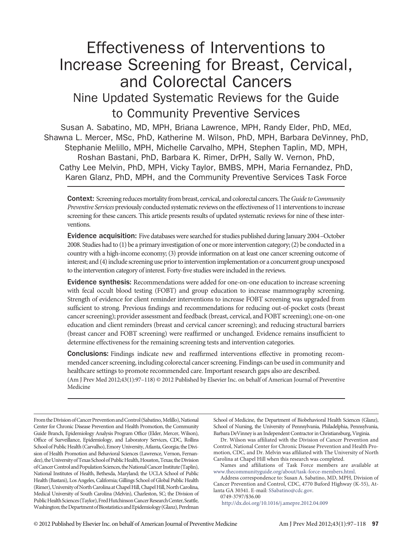# Effectiveness of Interventions to Increase Screening for Breast, Cervical, and Colorectal Cancers Nine Updated Systematic Reviews for the Guide to Community Preventive Services

Susan A. Sabatino, MD, MPH, Briana Lawrence, MPH, Randy Elder, PhD, MEd, Shawna L. Mercer, MSc, PhD, Katherine M. Wilson, PhD, MPH, Barbara DeVinney, PhD, Stephanie Melillo, MPH, Michelle Carvalho, MPH, Stephen Taplin, MD, MPH, Roshan Bastani, PhD, Barbara K. Rimer, DrPH, Sally W. Vernon, PhD, Cathy Lee Melvin, PhD, MPH, Vicky Taylor, BMBS, MPH, Maria Fernandez, PhD, Karen Glanz, PhD, MPH, and the Community Preventive Services Task Force

Context: Screening reducesmortalityfrom breast, cervical, and colorectal cancers. The*Guide toCommunity Preventive Services* previously conducted systematic reviews on the effectiveness of 11 interventions to increase screening for these cancers. This article presents results of updated systematic reviews for nine of these interventions.

Evidence acquisition: Five databases were searched for studies published during January 2004–October 2008. Studies had to (1) be a primary investigation of one or more intervention category; (2) be conducted in a country with a high-income economy; (3) provide information on at least one cancer screening outcome of interest; and (4) include screening use prior to intervention implementation or a concurrent group unexposed to the intervention category of interest. Forty-fıve studies were included in the reviews.

Evidence synthesis: Recommendations were added for one-on-one education to increase screening with fecal occult blood testing (FOBT) and group education to increase mammography screening. Strength of evidence for client reminder interventions to increase FOBT screening was upgraded from suffıcient to strong. Previous fındings and recommendations for reducing out-of-pocket costs (breast cancer screening); provider assessment and feedback (breast, cervical, and FOBT screening); one-on-one education and client reminders (breast and cervical cancer screening); and reducing structural barriers (breast cancer and FOBT screening) were reaffırmed or unchanged. Evidence remains insuffıcient to determine effectiveness for the remaining screening tests and intervention categories.

Conclusions: Findings indicate new and reaffırmed interventions effective in promoting recommended cancer screening, including colorectal cancer screening. Findings can be used in community and healthcare settings to promote recommended care. Important research gaps also are described. (Am J Prev Med 2012;43(1):97–118) © 2012 Published by Elsevier Inc. on behalf of American Journal of Preventive Medicine

From the Division of Cancer Prevention and Control (Sabatino, Melillo), National Center for Chronic Disease Prevention and Health Promotion, the Community Guide Branch, Epidemiology Analysis Program Offıce (Elder, Mercer, Wilson), Offıce of Surveillance, Epidemiology, and Laboratory Services, CDC, Rollins School of Public Health (Carvalho), Emory University, Atlanta, Georgia; the Division of Health Promotion and Behavioral Sciences (Lawrence, Vernon, Fernandez), the University of Texas School of Public Health, Houston, Texas; the Division of Cancer Control and Population Sciences, the National Cancer Institute (Taplin), National Institutes of Health, Bethesda, Maryland; the UCLA School of Public Health (Bastani), Los Angeles, California; Gillings School of Global Public Health (Rimer), University of North Carolina at Chapel Hill, Chapel Hill, North Carolina, Medical University of South Carolina (Melvin), Charleston, SC; the Division of Public Health Sciences (Taylor), Fred Hutchinson Cancer Research Center, Seattle, Washington; the Department of Biostatistics and Epidemiology (Glanz), Perelman School of Medicine, the Department of Biobehavioral Health Sciences (Glanz), School of Nursing, the University of Pennsylvania, Philadelphia, Pennsylvania, Barbara DeVinney is an Independent Contractor in Christiansburg, Virginia.

Dr. Wilson was affıliated with the Division of Cancer Prevention and Control, National Center for Chronic Disease Prevention and Health Promotion, CDC, and Dr. Melvin was affıliated with The University of North Carolina at Chapel Hill when this research was completed.

Names and affıliations of Task Force members are available at [www.thecommunityguide.org/about/task-force-members.html.](http://www.thecommunityguide.org/about/task-force-members.html)

Address correspondence to: Susan A. Sabatino, MD, MPH, Division of Cancer Prevention and Control, CDC, 4770 Buford Highway (K-55), Atlanta GA 30341. E-mail: [SSabatino@cdc.gov.](mailto:SSabatino@cdc.gov)

0749-3797/\$36.00

<http://dx.doi.org/10.1016/j.amepre.2012.04.009>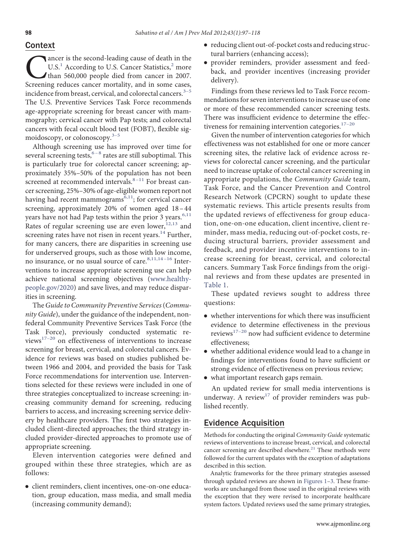### Context

Canc[er](#page-17-0) is t[h](#page-17-1)e second-lead[i](#page-17-1)ng cause of death in the U.S.<sup>1</sup> According to U.S. Cancer Statistics,<sup>2</sup> more than 560,000 people died from cancer in 2007.<br>Screening reduces cancer mortality, and in some cases. U.S.<sup>1</sup> According to U.S. Cancer Statistics,<sup>2</sup> more than 560,000 people died from cancer in 2007. Screening reduces cancer mortality, and in some cases, incidence from breast, cervical, and colorectal cancers.<sup>3-5</sup> The U.S. Preventive Services Task Force recommends age-appropriate screening for breast cancer with mammography; cervical cancer with Pap tests; and colorectal cancers with fecal occult blood test (FOBT), flexible sigmoidoscopy, or colonoscopy. $3-5$ 

Although screening use has improved over time for several screening tests,  $6-8$  rates are still suboptimal. This is particularly true for colorectal cancer screening; approximately 35%–50% of the population has not been screened at recommended intervals. $8-11$  For breast cancer screening, 25%–30% of age-eligible women report not having had recent mammograms<sup>6,11</sup>; for cervical cancer screening, approximately 20% of women aged 18 –44 years have not had Pap tests within the prior 3 years.<sup>[6,11](#page-17-3)</sup> Rates of regular screening use are even lower,  $12,13$  and screening rates have not risen in recent years.<sup>[14](#page-18-2)</sup> Further, for many cancers, there are disparities in screening use for underserved groups, such as those with low income, no insurance, or no usual source of care.<sup>8,11,14-16</sup> Interventions to increase appropriate screening use can help achieve national screening objectives [\(www.healthy](http://www.healthypeople.gov/2020)[people.gov/2020\)](http://www.healthypeople.gov/2020) and save lives, and may reduce disparities in screening.

The*Guide to Community Preventive Services*(*Community Guide*), under the guidance of the independent, nonfederal Community Preventive Services Task Force (the Task Force), previously conducted systematic reviews $17-20$  on effectiveness of interventions to increase screening for breast, cervical, and colorectal cancers. Evidence for reviews was based on studies published between 1966 and 2004, and provided the basis for Task Force recommendations for intervention use. Interventions selected for these reviews were included in one of three strategies conceptualized to increase screening: increasing community demand for screening, reducing barriers to access, and increasing screening service delivery by healthcare providers. The fırst two strategies included client-directed approaches; the third strategy included provider-directed approaches to promote use of appropriate screening.

Eleven intervention categories were defıned and grouped within these three strategies, which are as follows:

● client reminders, client incentives, one-on-one education, group education, mass media, and small media (increasing community demand);

- reducing client out-of-pocket costs and reducing structural barriers (enhancing access);
- provider reminders, provider assessment and feedback, and provider incentives (increasing provider delivery).

Findings from these reviews led to Task Force recommendations for seven interventions to increase use of one or more of these recommended cancer screening tests. There was insuffıcient evidence to determine the effectiveness for remaining intervention categories.<sup>17-20</sup>

Given the number of intervention categories for which effectiveness was not established for one or more cancer screening sites, the relative lack of evidence across reviews for colorectal cancer screening, and the particular need to increase uptake of colorectal cancer screening in appropriate populations, the *Community Guide* team, Task Force, and the Cancer Prevention and Control Research Network (CPCRN) sought to update these systematic reviews. This article presents results from the updated reviews of effectiveness for group education, one-on-one education, client incentive, client reminder, mass media, reducing out-of-pocket costs, reducing structural barriers, provider assessment and feedback, and provider incentive interventions to increase screening for breast, cervical, and colorectal cancers. Summary Task Force fındings from the original reviews and from these updates are presented in [Table 1.](#page-2-0)

These updated reviews sought to address three questions:

- whether interventions for which there was insuffıcient evidence to determine effectiveness in the previous  $\mathrm{reviews}^{17-20}$  now had sufficient evidence to determine effectiveness;
- whether additional evidence would lead to a change in fındings for interventions found to have suffıcient or strong evidence of effectiveness on previous review;
- what important research gaps remain.

An updated review for small media interventions is underway. A review<sup>[17](#page-18-3)</sup> of provider reminders was published recently.

# Evidence Acquisition

Methods for conducting the original *Community Guide* systematic reviews of interventions to increase breast, cervical, and colorectal cancer screening are described elsewhere.<sup>21</sup> These methods were followed for the current updates with the exception of adaptations described in this section.

Analytic frameworks for the three primary strategies assessed through updated reviews are shown in [Figures 1–](#page-3-0)[3.](#page-4-0) These frameworks are unchanged from those used in the original reviews with the exception that they were revised to incorporate healthcare system factors. Updated reviews used the same primary strategies,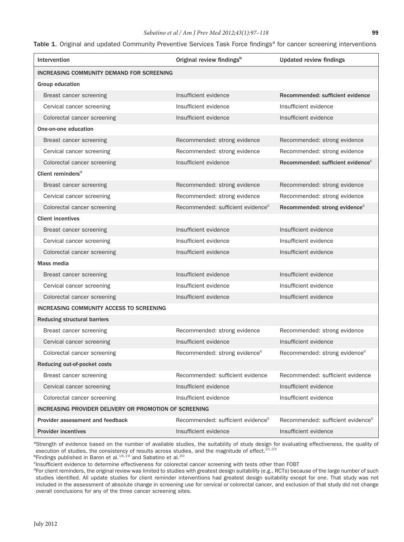| Intervention                                           | Original review findings <sup>b</sup>         | <b>Updated review findings</b>                |
|--------------------------------------------------------|-----------------------------------------------|-----------------------------------------------|
| INCREASING COMMUNITY DEMAND FOR SCREENING              |                                               |                                               |
| Group education                                        |                                               |                                               |
| Breast cancer screening                                | Insufficient evidence                         | Recommended: sufficient evidence              |
| Cervical cancer screening                              | Insufficient evidence                         | Insufficient evidence                         |
| Colorectal cancer screening                            | Insufficient evidence                         | Insufficient evidence                         |
| One-on-one education                                   |                                               |                                               |
| Breast cancer screening                                | Recommended: strong evidence                  | Recommended: strong evidence                  |
| Cervical cancer screening                              | Recommended: strong evidence                  | Recommended: strong evidence                  |
| Colorectal cancer screening                            | Insufficient evidence                         | Recommended: sufficient evidence <sup>c</sup> |
| Client reminders <sup>d</sup>                          |                                               |                                               |
| Breast cancer screening                                | Recommended: strong evidence                  | Recommended: strong evidence                  |
| Cervical cancer screening                              | Recommended: strong evidence                  | Recommended: strong evidence                  |
| Colorectal cancer screening                            | Recommended: sufficient evidence <sup>c</sup> | Recommended: strong evidence <sup>c</sup>     |
| <b>Client incentives</b>                               |                                               |                                               |
| Breast cancer screening                                | Insufficient evidence                         | Insufficient evidence                         |
| Cervical cancer screening                              | Insufficient evidence                         | Insufficient evidence                         |
| Colorectal cancer screening                            | Insufficient evidence                         | Insufficient evidence                         |
| Mass media                                             |                                               |                                               |
| Breast cancer screening                                | Insufficient evidence                         | Insufficient evidence                         |
| Cervical cancer screening                              | Insufficient evidence                         | Insufficient evidence                         |
| Colorectal cancer screening                            | Insufficient evidence                         | Insufficient evidence                         |
| INCREASING COMMUNITY ACCESS TO SCREENING               |                                               |                                               |
| <b>Reducing structural barriers</b>                    |                                               |                                               |
| Breast cancer screening                                | Recommended: strong evidence                  | Recommended: strong evidence                  |
| Cervical cancer screening                              | Insufficient evidence                         | Insufficient evidence                         |
| Colorectal cancer screening                            | Recommended: strong evidence <sup>c</sup>     | Recommended: strong evidence <sup>c</sup>     |
| Reducing out-of-pocket costs                           |                                               |                                               |
| Breast cancer screening                                | Recommended: sufficient evidence              | Recommended: sufficient evidence              |
| Cervical cancer screening                              | Insufficient evidence                         | Insufficient evidence                         |
| Colorectal cancer screening                            | Insufficient evidence                         | Insufficient evidence                         |
| INCREASING PROVIDER DELIVERY OR PROMOTION OF SCREENING |                                               |                                               |
| Provider assessment and feedback                       | Recommended: sufficient evidence <sup>c</sup> | Recommended: sufficient evidence <sup>c</sup> |
| <b>Provider incentives</b>                             | Insufficient evidence                         | Insufficient evidence                         |

#### <span id="page-2-0"></span>Table 1. Original and updated Community Preventive Services Task Force findings<sup>a</sup> for cancer screening interventions

<sup>a</sup>Strength of evidence based on the number of available studies, the suitability of study design for evaluating effectiveness, the quality of execution of studies, the consistency of results across studies, and the magnitude of effect. $21,23$ 

<sup>b</sup>Findings published in Baron et al.<sup>[18,19](#page-18-5)</sup> and Sabatino et al.<sup>[20](#page-18-6)</sup>

<sup>c</sup>Insufficient evidence to determine effectiveness for colorectal cancer screening with tests other than FOBT

<sup>d</sup>For client reminders, the original review was limited to studies with greatest design suitability (e.g., RCTs) because of the large number of such studies identified. All update studies for client reminder interventions had greatest design suitability except for one. That study was not included in the assessment of absolute change in screening use for cervical or colorectal cancer, and exclusion of that study did not change overall conclusions for any of the three cancer screening sites.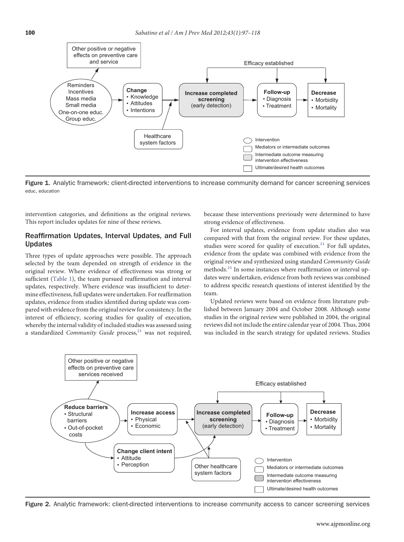

<span id="page-3-0"></span>Figure 1. Analytic framework: client-directed interventions to increase community demand for cancer screening services educ, education

intervention categories, and defınitions as the original reviews. This report includes updates for nine of these reviews.

#### Reaffirmation Updates, Interval Updates, and Full Updates

Three types of update approaches were possible. The approach selected by the team depended on strength of evidence in the original review. Where evidence of effectiveness was strong or sufficient [\(Table 1\)](#page-2-0), the team pursued reaffirmation and interval updates, respectively. Where evidence was insuffıcient to determine effectiveness, full updates were undertaken. For reaffırmation updates, evidence from studies identifıed during update was compared with evidence from the original review for consistency. In the interest of effıciency, scoring studies for quality of execution, whereby the internal validity of included studies was assessed using a standardized *Community Guide* process,<sup>21</sup> was not required, because these interventions previously were determined to have strong evidence of effectiveness.

For interval updates, evidence from update studies also was compared with that from the original review. For these updates, studies were scored for quality of execution.<sup>21</sup> For full updates, evidence from the update was combined with evidence from the original review and synthesized using standard *Community Guide* methods.<sup>21</sup> In some instances where reaffirmation or interval updates were undertaken, evidence from both reviews was combined to address specifıc research questions of interest identifıed by the team.

Updated reviews were based on evidence from literature published between January 2004 and October 2008. Although some studies in the original review were published in 2004, the original reviews did not include the entire calendar year of 2004. Thus, 2004 was included in the search strategy for updated reviews. Studies



Figure 2. Analytic framework: client-directed interventions to increase community access to cancer screening services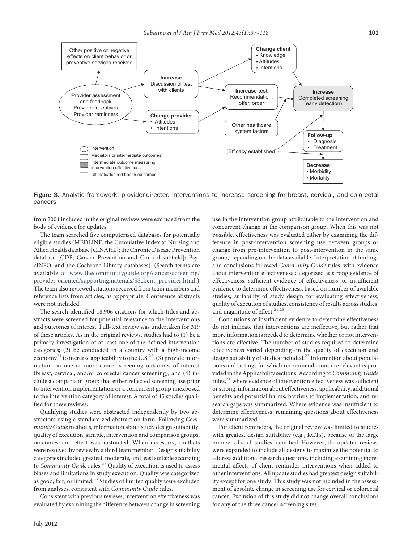

<span id="page-4-0"></span>Figure 3. Analytic framework: provider-directed interventions to increase screening for breast, cervical, and colorectal cancers

from 2004 included in the original reviews were excluded from the body of evidence for updates.

The team searched fıve computerized databases for potentially eligible studies (MEDLINE; the Cumulative Index to Nursing and Allied Health database [CINAHL]; the Chronic Disease Prevention database [CDP, Cancer Prevention and Control subfıeld]; PsycINFO; and the Cochrane Library databases). (Search terms are available at [www.thecommunityguide.org/cancer/screening/](http://www.thecommunityguide.org/cancer/screening/provider-oriented/supportingmaterials/SSclient_provider.html) [provider-oriented/supportingmaterials/SSclient\\_provider.html.](http://www.thecommunityguide.org/cancer/screening/provider-oriented/supportingmaterials/SSclient_provider.html)) The team also reviewed citations received from team members and reference lists from articles, as appropriate. Conference abstracts were not included.

The search identifıed 18,906 citations for which titles and abstracts were screened for potential relevance to the interventions and outcomes of interest. Full-text review was undertaken for 319 of these articles. As in the original reviews, studies had to (1) be a primary investigation of at least one of the defıned intervention categories; (2) be conducted in a country with a high-income economy<sup>21</sup> to increase applicability to the U.S.<sup>22</sup>; (3) provide information on one or more cancer screening outcomes of interest (breast, cervical, and/or colorectal cancer screening); and (4) include a comparison group that either reflected screening use prior to intervention implementation or a concurrent group unexposed to the intervention category of interest. A total of 45 studies qualifıed for these reviews.

Qualifying studies were abstracted independently by two abstractors using a standardized abstraction form. Following *Community Guide* methods, information about study design suitability, quality of execution, sample, intervention and comparison groups, outcomes, and effect was abstracted. When necessary, conflicts were resolved by review by a third team member. Design suitability categories included greatest, moderate, and least suitable according to *Community Guide* rules.<sup>23</sup> Quality of execution is used to assess biases and limitations in study execution. Quality was categorized as good, fair, or limited.<sup>23</sup> Studies of limited quality were excluded from analyses, consistent with *Community Guide* rules.

Consistent with previous reviews, intervention effectiveness was evaluated by examining the difference between change in screening use in the intervention group attributable to the intervention and concurrent change in the comparison group. When this was not possible, effectiveness was evaluated either by examining the difference in post-intervention screening use between groups or change from pre-intervention to post-intervention in the same group, depending on the data available. Interpretation of fındings and conclusions followed *Community Guide* rules, with evidence about intervention effectiveness categorized as strong evidence of effectiveness, suffıcient evidence of effectiveness, or insuffıcient evidence to determine effectiveness, based on number of available studies, suitability of study design for evaluating effectiveness, quality of execution of studies, consistency of results across studies, and magnitude of effect. $21,23$ 

Conclusions of insuffıcient evidence to determine effectiveness do not indicate that interventions are ineffective, but rather that more information is needed to determine whether or not interventions are effective. The number of studies required to determine effectiveness varied depending on the quality of execution and design suitability of studies included.<sup>23</sup> Information about populations and settings for which recommendations are relevant is provided in the Applicability sections. According to*Community Guide* rules, $^{21}$  where evidence of intervention effectiveness was sufficient or strong, information about effectiveness, applicability, additional benefıts and potential harms, barriers to implementation, and research gaps was summarized. Where evidence was insuffıcient to determine effectiveness, remaining questions about effectiveness were summarized.

For client reminders, the original review was limited to studies with greatest design suitability (e.g., RCTs), because of the large number of such studies identifıed. However, the updated reviews were expanded to include all designs to maximize the potential to address additional research questions, including examining incremental effects of client reminder interventions when added to other interventions. All update studies had greatest design suitability except for one study. This study was not included in the assessment of absolute change in screening use for cervical or colorectal cancer. Exclusion of this study did not change overall conclusions for any of the three cancer screening sites.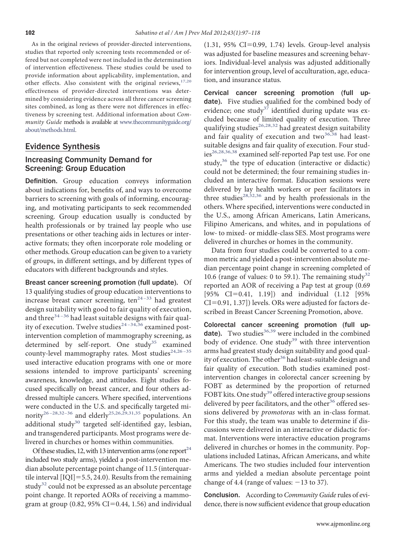As in the original reviews of provider-directed interventions, studies that reported only screening tests recommended or offered but not completed were not included in the determination of intervention effectiveness. These studies could be used to provide information about applicability, implementation, and other effects. Also consistent with the original reviews, [17,20](#page-18-3) effectiveness of provider-directed interventions was determined by considering evidence across all three cancer screening sites combined, as long as there were not differences in effectiveness by screening test. Additional information about *Community Guide* methods is available at [www.thecommunityguide.org/](http://www.thecommunityguide.org/about/methods.html) [about/methods.html.](http://www.thecommunityguide.org/about/methods.html)

### Evidence Synthesis

### Increasing Community Demand for Screening: Group Education

Definition. Group education conveys information about indications for, benefıts of, and ways to overcome barriers to screening with goals of informing, encouraging, and motivating participants to seek recommended screening. Group education usually is conducted by health professionals or by trained lay people who use presentations or other teaching aids in lectures or interactive formats; they often incorporate role modeling or other methods. Group education can be given to a variety of groups, in different settings, and by different types of educators with different backgrounds and styles.

Breast cancer screening promotion (full update). Of 13 qualifying studies of group education interventions to increase breast cancer screening,  $\tan \frac{1}{2}$  had greatest design suitability with good to fair quality of execution, and three $34-36$  had least suitable designs with fair quality of execution. Twelve studies<sup>24-34,36</sup> examined postintervention completion of mammography screening, as determined by self-report. One study<sup>[35](#page-18-11)</sup> examined county-level mammography rates. Most studies<sup>24,26-35</sup> used interactive education programs with one or more sessions intended to improve participants' screening awareness, knowledge, and attitudes. Eight studies focused specifıcally on breast cancer, and four others addressed multiple cancers. Where specifıed, interventions were conducted in the U.S. and specifıcally targeted mi-nority<sup>26-28,32-36</sup> and elderly<sup>[25,26,29,31,35](#page-18-13)</sup> populations. An additional study $30$  targeted self-identified gay, lesbian, and transgendered participants. Most programs were delivered in churches or homes within communities.

Of these studies, 12, with 13 intervention arms (one report  $24$ included two study arms), yielded a post-intervention median absolute percentage point change of 11.5 (interquartile interval  $[IQI] = 5.5, 24.0$ . Results from the remaining study<sup>[32](#page-18-15)</sup> could not be expressed as an absolute percentage point change. It reported AORs of receiving a mammogram at group  $(0.82, 95\% \text{ CI} = 0.44, 1.56)$  and individual

 $(1.31, 95\% \text{ CI} = 0.99, 1.74)$  levels. Group-level analysis was adjusted for baseline measures and screening behaviors. Individual-level analysis was adjusted additionally for intervention group, level of acculturation, age, education, and insurance status.

Cervical cancer screening promotion (full update). Five studies qualified for the combined body of evidence; one study<sup>[37](#page-18-16)</sup> identified during update was excluded because of limited quality of execution. Three qualifying studies<sup>[26,28,32](#page-18-12)</sup> had greatest design suitability and fair quality of execution and two $36,38$  had leastsuitable designs and fair quality of execution. Four stud-ies<sup>[26,28,36,38](#page-18-12)</sup> examined self-reported Pap test use. For one study, $36$  the type of education (interactive or didactic) could not be determined; the four remaining studies included an interactive format. Education sessions were delivered by lay health workers or peer facilitators in three studies<sup>[28,32,36](#page-18-18)</sup> and by health professionals in the others. Where specifıed, interventions were conducted in the U.S., among African Americans, Latin Americans, Filipino Americans, and whites, and in populations of low- to mixed- or middle-class SES. Most programs were delivered in churches or homes in the community.

Data from four studies could be converted to a common metric and yielded a post-intervention absolute median percentage point change in screening completed of 10.6 (range of values: 0 to 59.1). The remaining study<sup>[32](#page-18-15)</sup> reported an AOR of receiving a Pap test at group (0.69  $[95\% \text{ CI} = 0.41, 1.19]$  and individual  $(1.12 \text{ } [95\%$  $CI = 0.91, 1.37$ ]) levels. ORs were adjusted for factors described in Breast Cancer Screening Promotion, above.

Colorectal cancer screening promotion (full up-date). Two studies<sup>[36,39](#page-18-17)</sup> were included in the combined body of evidence. One study<sup>[39](#page-18-19)</sup> with three intervention arms had greatest study design suitability and good qual-ity of execution. The other<sup>[36](#page-18-17)</sup> had least-suitable design and fair quality of execution. Both studies examined postintervention changes in colorectal cancer screening by FOBT as determined by the proportion of returned FOBT kits. One study<sup>[39](#page-18-19)</sup> offered interactive group sessions delivered by peer facilitators, and the other<sup>[36](#page-18-17)</sup> offered sessions delivered by *promotoras* with an in-class format. For this study, the team was unable to determine if discussions were delivered in an interactive or didactic format. Interventions were interactive education programs delivered in churches or homes in the community. Populations included Latinas, African Americans, and white Americans. The two studies included four intervention arms and yielded a median absolute percentage point change of 4.4 (range of values:  $-13$  to 37).

Conclusion. According to *Community Guide* rules of evidence, there is now suffıcient evidence that group education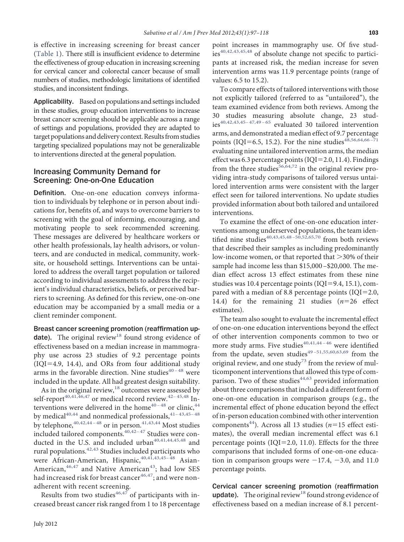is effective in increasing screening for breast cancer [\(Table 1\)](#page-2-0). There still is insuffıcient evidence to determine the effectiveness of group education in increasing screening for cervical cancer and colorectal cancer because of small numbers of studies, methodologic limitations of identifıed studies, and inconsistent fındings.

Applicability. Based on populations and settings included in these studies, group education interventions to increase breast cancer screening should be applicable across a range of settings and populations, provided they are adapted to target populations and delivery context. Results from studies targeting specialized populations may not be generalizable to interventions directed at the general population.

### Increasing Community Demand for Screening: One-on-One Education

Definition. One-on-one education conveys information to individuals by telephone or in person about indications for, benefıts of, and ways to overcome barriers to screening with the goal of informing, encouraging, and motivating people to seek recommended screening. These messages are delivered by healthcare workers or other health professionals, lay health advisors, or volunteers, and are conducted in medical, community, worksite, or household settings. Interventions can be untailored to address the overall target population or tailored according to individual assessments to address the recipient's individual characteristics, beliefs, or perceived barriers to screening. As defıned for this review, one-on-one education may be accompanied by a small media or a client reminder component.

Breast cancer screening promotion (reaffirmation up-date). The original review<sup>[18](#page-18-5)</sup> found strong evidence of effectiveness based on a median increase in mammography use across 23 studies of 9.2 percentage points  $(IQI=4.9, 14.4)$ , and ORs from four additional study arms in the favorable direction. Nine studies $40 - 48$  were included in the update. All had greatest design suitability.

As in the original review,<sup>[18](#page-18-5)</sup> outcomes were assessed by self-report<sup>[40,41,46,47](#page-18-20)</sup> or medical record review.<sup>42-45,48</sup> In-terventions were delivered in the home<sup>40-48</sup> or clinic,<sup>[44](#page-19-0)</sup> by medical<sup>[40,44](#page-18-20)</sup> and nonmedical professionals,  $41-43,45-48$ by telephone,  $40,42,44 - 48$  or in person.  $41,43,44$  Most studies  $\prod_{1}^{1}$  and tailored components.<sup>[40,42–47](#page-18-20)</sup> Studies were con-ducted in the U.S. and included urban<sup>[40,41,44,45,48](#page-18-20)</sup> and rural populations.  $\hspace{0.1mm}^{42,43}$  $\hspace{0.1mm}^{42,43}$  $\hspace{0.1mm}^{42,43}$  Studies included participants who were African-American, Hispanic, 40,41,43,45-48 Asian-American,  $46,47$  and Native American<sup>43</sup>; had low SES had increased risk for breast cancer<sup>46,47</sup>; and were nonadherent with recent screening.

Results from two studies<sup>[46,47](#page-19-1)</sup> of participants with increased breast cancer risk ranged from 1 to 18 percentage point increases in mammography use. Of fıve stud-ies<sup>[40,42,43,45,48](#page-18-20)</sup> of absolute change not specific to participants at increased risk, the median increase for seven intervention arms was 11.9 percentage points (range of values: 6.5 to 15.2).

To compare effects of tailored interventions with those not explicitly tailored (referred to as "untailored"), the team examined evidence from both reviews. Among the studies measuring absolute change, 23 studies $40,42,43,45-47,49-65$  evaluated 30 tailored intervention arms, and demonstrated a median effect of 9.7 percentage points (IQI=6.5, 15.2). For the nine studies<sup>48,56,64,66</sup>-71 evaluating nine untailored intervention arms, the median effect was 6.3 percentage points ( $IQI=2.0, 11.4$ ). Findings from the three studies<sup>[56,64,72](#page-19-3)</sup> in the original review providing intra-study comparisons of tailored versus untailored intervention arms were consistent with the larger effect seen for tailored interventions. No update studies provided information about both tailored and untailored interventions.

To examine the effect of one-on-one education interventions among underserved populations, the team identified nine studies<sup>40,43,45,48-50,52,65,70</sup> from both reviews that described their samples as including predominantly low-income women, or that reported that  $>$ 30% of their sample had income less than \$15,000 –\$20,000. The median effect across 13 effect estimates from these nine studies was 10.4 percentage points ( $IQI=9.4, 15.1$ ), compared with a median of 8.8 percentage points ( $IQI=2.0$ , 14.4) for the remaining 21 studies  $(n=26 \text{ effect})$ estimates).

The team also sought to evaluate the incremental effect of one-on-one education interventions beyond the effect of other intervention components common to two or more study arms. Five studies $40,41,44-46$  were identified from the update, seven studies<sup>49-51,55,60,63,69</sup> from the original review, and one study<sup>[73](#page-19-5)</sup> from the review of multicomponent interventions that allowed this type of comparison. Two of these studies $44,63$  provided information about three comparisons that included a different form of one-on-one education in comparison groups (e.g., the incremental effect of phone education beyond the effect of in-person education combined with other intervention components<sup>44</sup>). Across all 13 studies ( $n=15$  effect estimates), the overall median incremental effect was 6.1 percentage points (IQI=2.0, 11.0). Effects for the three comparisons that included forms of one-on-one education in comparison groups were  $-17.4$ ,  $-3.0$ , and 11.0 percentage points.

Cervical cancer screening promotion (reaffirmation update). The original review<sup>[18](#page-18-5)</sup> found strong evidence of effectiveness based on a median increase of 8.1 percent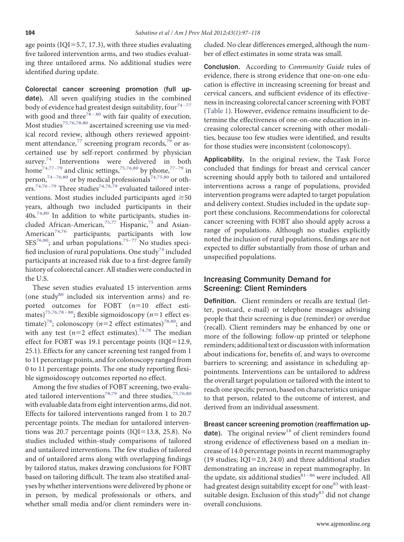age points ( $IQI=5.7$ , 17.3), with three studies evaluating fıve tailored intervention arms, and two studies evaluating three untailored arms. No additional studies were identifıed during update.

Colorectal cancer screening promotion (full update). All seven qualifying studies in the combined body of evidence had greatest design suitability, four<sup>74-77</sup> with good and three<sup>78-80</sup> with fair quality of execution. Most studies<sup>[75,76,78,80](#page-19-8)</sup> ascertained screening use via medical record review, although others reviewed appointment attendance, $77$  screening program records, $79$  or ascertained use by self-report confırmed by physician survey.<sup>[74](#page-19-6)</sup> Interventions were delivered in both home<sup>74,77-79</sup> and clinic settings,<sup>[75,76,80](#page-19-8)</sup> by phone,<sup>77-79</sup> in person,<sup>74-76,80</sup> or by medical professionals<sup>[74,75,80](#page-19-6)</sup> or oth-ers.<sup>74,76-79</sup> Three studies<sup>[74,78,79](#page-19-6)</sup> evaluated tailored interventions. Most studies included participants aged  $\geq 50$ years, although two included participants in their  $40s$ <sup>74,80</sup> In addition to white participants, studies in-cluded African-American,<sup>[75,77](#page-19-8)</sup> Hispanic,<sup>[75](#page-19-8)</sup> and Asian-American<sup>[74,76](#page-19-6)</sup> participants; participants with low  $SES^{76,80}$ ; and urban populations.<sup>75-77</sup> No studies speci-fied inclusion of rural populations. One study<sup>[74](#page-19-6)</sup> included participants at increased risk due to a fırst-degree family history of colorectal cancer. All studies were conducted in the U.S.

These seven studies evaluated 15 intervention arms (one study $80$  included six intervention arms) and reported outcomes for FOBT (*n*=10 effect estimates)<sup>75,76,78-80</sup>; flexible sigmoidoscopy ( $n=1$  effect estimate)<sup>78</sup>; colonoscopy ( $n=2$  effect estimates)<sup>78,80</sup>; and with any test  $(n=2$  effect estimates).<sup>[74,78](#page-19-6)</sup> The median effect for FOBT was 19.1 percentage points  $(IQI=12.9,$ 25.1). Effects for any cancer screening test ranged from 1 to 11 percentage points, and for colonoscopy ranged from 0 to 11 percentage points. The one study reporting flexible sigmoidoscopy outcomes reported no effect.

Among the fıve studies of FOBT screening, two evalu-ated tailored interventions<sup>[78,79](#page-19-7)</sup> and three studies,<sup>[75,76,80](#page-19-8)</sup> with evaluable data from eight intervention arms, did not. Effects for tailored interventions ranged from 1 to 20.7 percentage points. The median for untailored interventions was 20.7 percentage points  $(IQI=13.8, 25.8)$ . No studies included within-study comparisons of tailored and untailored interventions. The few studies of tailored and of untailored arms along with overlapping fındings by tailored status, makes drawing conclusions for FOBT based on tailoring diffıcult. The team also stratifıed analyses by whether interventions were delivered by phone or in person, by medical professionals or others, and whether small media and/or client reminders were included. No clear differences emerged, although the number of effect estimates in some strata was small.

Conclusion. According to *Community Guide* rules of evidence, there is strong evidence that one-on-one education is effective in increasing screening for breast and cervical cancers, and suffıcient evidence of its effectiveness in increasing colorectal cancer screening with FOBT [\(Table 1\)](#page-2-0). However, evidence remains insuffıcient to determine the effectiveness of one-on-one education in increasing colorectal cancer screening with other modalities, because too few studies were identifıed, and results for those studies were inconsistent (colonoscopy).

Applicability. In the original review, the Task Force concluded that fındings for breast and cervical cancer screening should apply both to tailored and untailored interventions across a range of populations, provided intervention programs were adapted to target population and delivery context. Studies included in the update support these conclusions. Recommendations for colorectal cancer screening with FOBT also should apply across a range of populations. Although no studies explicitly noted the inclusion of rural populations, fındings are not expected to differ substantially from those of urban and unspecifıed populations.

### Increasing Community Demand for Screening: Client Reminders

Definition. Client reminders or recalls are textual (letter, postcard, e-mail) or telephone messages advising people that their screening is due (reminder) or overdue (recall). Client reminders may be enhanced by one or more of the following: follow-up printed or telephone reminders; additional text or discussion with information about indications for, benefıts of, and ways to overcome barriers to screening; and assistance in scheduling appointments. Interventions can be untailored to address the overall target population or tailored with the intent to reach one specifıc person, based on characteristics unique to that person, related to the outcome of interest, and derived from an individual assessment.

Breast cancer screening promotion (reaffirmation up-date). The original review<sup>[18](#page-18-5)</sup> of client reminders found strong evidence of effectiveness based on a median increase of 14.0 percentage points in recent mammography (19 studies;  $IQI=2.0, 24.0$ ) and three additional studies demonstrating an increase in repeat mammography. In the update, six additional studies $81-86$  were included. All had greatest design suitability except for one<sup>[83](#page-19-14)</sup> with least-suitable design. Exclusion of this study<sup>[83](#page-19-14)</sup> did not change overall conclusions.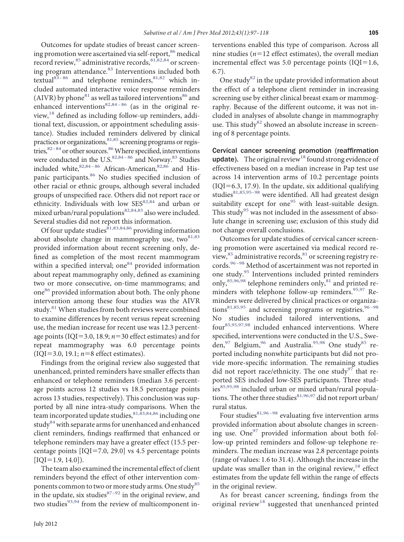Outcomes for update studies of breast cancer screen-ing promotion were ascertained via self-report,<sup>[86](#page-20-0)</sup> medical record review,  $85$  administrative records,  $81,82,84$  or screen-ing program attendance.<sup>[83](#page-19-14)</sup> Interventions included both textual<sup>[83–86](#page-19-14)</sup> and telephone reminders, <sup>[81,82](#page-19-13)</sup> which included automated interactive voice response reminders (AIVR) by phone $^{81}$  $^{81}$  $^{81}$  as well as tailored interventions $^{86}$  $^{86}$  $^{86}$  and enhanced interventions<sup>82,84-86</sup> (as in the original re-view,<sup>[18](#page-18-5)</sup> defined as including follow-up reminders, additional text, discussion, or appointment scheduling assistance). Studies included reminders delivered by clinical practices or organizations,  $^{81,85}$  screening programs or registries, $82-84$  or other sources.  $86$  Where specified, interventions were conducted in the U.S.<sup>82,84-86</sup> and Norway.<sup>83</sup> Studies included white,  $82,84-86$  African-American,  $82,86$  and His-panic participants.<sup>[86](#page-20-0)</sup> No studies specified inclusion of other racial or ethnic groups, although several included groups of unspecifıed race. Others did not report race or ethnicity. Individuals with low SES<sup>[82,84](#page-19-15)</sup> and urban or mixed urban/rural populations $82,84,85$  also were included. Several studies did not report this information.

Of four update studies $81,83,84,86$  providing information about absolute change in mammography use, two $81,83$ provided information about recent screening only, defıned as completion of the most recent mammogram within a specified interval; one $84$  provided information about repeat mammography only, defıned as examining two or more consecutive, on-time mammograms; and one<sup>[86](#page-20-0)</sup> provided information about both. The only phone intervention among these four studies was the AIVR study.<sup>[81](#page-19-13)</sup> When studies from both reviews were combined to examine differences by recent versus repeat screening use, the median increase for recent use was 12.3 percentage points (IQI=3.0, 18.9;  $n=30$  effect estimates) and for repeat mammography was 6.0 percentage points  $(IQI = 3.0, 19.1; n=8$  effect estimates).

Findings from the original review also suggested that unenhanced, printed reminders have smaller effects than enhanced or telephone reminders (median 3.6 percentage points across 12 studies vs 18.5 percentage points across 13 studies, respectively). This conclusion was supported by all nine intra-study comparisons. When the team incorporated update studies, <sup>[81,83,84,86](#page-19-13)</sup> including one study<sup>[84](#page-19-16)</sup> with separate arms for unenhanced and enhanced client reminders, fındings reaffırmed that enhanced or telephone reminders may have a greater effect (15.5 percentage points  $[IQI=7.0, 29.0]$  vs 4.5 percentage points  $[IOI=1.9, 14.0]$ .

The team also examined the incremental effect of client reminders beyond the effect of other intervention com-ponents common to two or more study arms. One study<sup>[85](#page-20-1)</sup> in the update, six studies $87-92$  in the original review, and two studies $93,94$  from the review of multicomponent interventions enabled this type of comparison. Across all nine studies ( $n=12$  effect estimates), the overall median incremental effect was 5.0 percentage points ( $IQI=1.6$ , 6.7).

One study $82$  in the update provided information about the effect of a telephone client reminder in increasing screening use by either clinical breast exam or mammography. Because of the different outcome, it was not included in analyses of absolute change in mammography use. This study<sup>82</sup> showed an absolute increase in screening of 8 percentage points.

Cervical cancer screening promotion (reaffirmation update). The original review<sup>[18](#page-18-5)</sup> found strong evidence of effectiveness based on a median increase in Pap test use across 14 intervention arms of 10.2 percentage points  $(IQI=6.3, 17.9)$ . In the update, six additional qualifying studies $81,85,95-98$  were identified. All had greatest design suitability except for one $95$  with least-suitable design. This study<sup>[95](#page-20-4)</sup> was not included in the assessment of absolute change in screening use; exclusion of this study did not change overall conclusions.

Outcomes for update studies of cervical cancer screening promotion were ascertained via medical record re-view,<sup>[85](#page-20-1)</sup> administrative records,<sup>[81](#page-19-13)</sup> or screening registry records.<sup>96-98</sup> Method of ascertainment was not reported in one study.<sup>[95](#page-20-4)</sup> Interventions included printed reminders only, $85,96,98$  telephone reminders only, $81$  and printed reminders with telephone follow-up reminders.  $95,97$  Reminders were delivered by clinical practices or organizations $81,85,95$  and screening programs or registries.  $96-98$ No studies included tailored interventions, and four[85,95,97,98](#page-20-1) included enhanced interventions. Where specifıed, interventions were conducted in the U.S., Swe-den,<sup>97</sup> Belgium,<sup>[96](#page-20-5)</sup> and Australia.<sup>[95,98](#page-20-4)</sup> One study<sup>[85](#page-20-1)</sup> reported including nonwhite participants but did not provide more-specifıc information. The remaining studies did not report race/ethnicity. The one study $97$  that reported SES included low-SES participants. Three stud-ies<sup>[85,95,98](#page-20-1)</sup> included urban or mixed urban/rural popula-tions. The other three studies<sup>[81,96,97](#page-19-13)</sup> did not report urban/ rural status.

Four studies $81,96-98$  evaluating five intervention arms provided information about absolute changes in screening use. One $97$  provided information about both follow-up printed reminders and follow-up telephone reminders. The median increase was 2.8 percentage points (range of values: 1.6 to 31.4). Although the increase in the update was smaller than in the original review, $18$  effect estimates from the update fell within the range of effects in the original review.

As for breast cancer screening, fındings from the original review<sup>[18](#page-18-5)</sup> suggested that unenhanced printed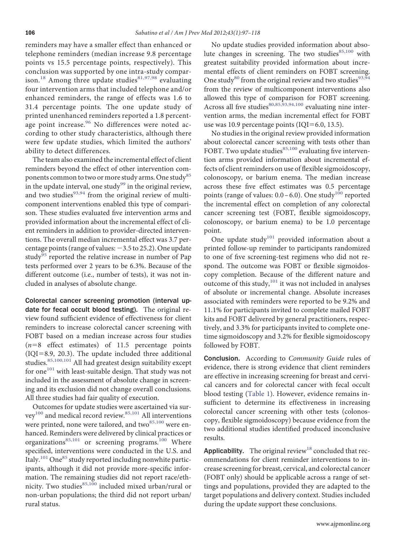reminders may have a smaller effect than enhanced or telephone reminders (median increase 9.8 percentage points vs 15.5 percentage points, respectively). This conclusion was supported by one intra-study compar-ison.<sup>[18](#page-18-5)</sup> Among three update studies<sup>[81,97,98](#page-19-13)</sup> evaluating four intervention arms that included telephone and/or enhanced reminders, the range of effects was 1.6 to 31.4 percentage points. The one update study of printed unenhanced reminders reported a 1.8 percent-age point increase.<sup>[96](#page-20-5)</sup> No differences were noted according to other study characteristics, although there were few update studies, which limited the authors' ability to detect differences.

The team also examined the incremental effect of client reminders beyond the effect of other intervention com-ponents common to two or more study arms. One study<sup>[85](#page-20-1)</sup> in the update interval, one study<sup>[99](#page-20-7)</sup> in the original review, and two studies $93,94$  from the original review of multicomponent interventions enabled this type of comparison. These studies evaluated fıve intervention arms and provided information about the incremental effect of client reminders in addition to provider-directed interventions. The overall median incremental effect was 3.7 percentage points (range of values: -3.5 to 25.2). One update study<sup>95</sup> reported the relative increase in number of Pap tests performed over 2 years to be 6.3%. Because of the different outcome (i.e., number of tests), it was not included in analyses of absolute change.

Colorectal cancer screening promotion (interval update for fecal occult blood testing). The original review found suffıcient evidence of effectiveness for client reminders to increase colorectal cancer screening with FOBT based on a median increase across four studies  $(n=8$  effect estimates) of 11.5 percentage points  $(IQI=8.9, 20.3)$ . The update included three additional studies.<sup>[85,100,101](#page-20-1)</sup> All had greatest design suitability except for one $101$  with least-suitable design. That study was not included in the assessment of absolute change in screening and its exclusion did not change overall conclusions. All three studies had fair quality of execution.

Outcomes for update studies were ascertained via sur-vey<sup>100</sup> and medical record review.<sup>[85,101](#page-20-1)</sup> All interventions were printed, none were tailored, and two<sup>[85,100](#page-20-1)</sup> were enhanced. Reminders were delivered by clinical practices or organizations<sup>[85,101](#page-20-1)</sup> or screening programs.<sup>[100](#page-20-9)</sup> Where specifıed, interventions were conducted in the U.S. and Italy.<sup>[101](#page-20-8)</sup> One<sup>[85](#page-20-1)</sup> study reported including nonwhite participants, although it did not provide more-specifıc information. The remaining studies did not report race/eth-nicity. Two studies<sup>[85,100](#page-20-1)</sup> included mixed urban/rural or non-urban populations; the third did not report urban/ rural status.

No update studies provided information about absolute changes in screening. The two studies $85,100$  with greatest suitability provided information about incremental effects of client reminders on FOBT screening. One study<sup>[80](#page-19-12)</sup> from the original review and two studies<sup>93,94</sup> from the review of multicomponent interventions also allowed this type of comparison for FOBT screening. Across all five studies $80,85,93,94,100$  evaluating nine intervention arms, the median incremental effect for FOBT use was 10.9 percentage points  $(IQI=6.0, 13.5)$ .

No studies in the original review provided information about colorectal cancer screening with tests other than FOBT. Two update studies $85,100$  evaluating five intervention arms provided information about incremental effects of client reminders on use of flexible sigmoidoscopy, colonoscopy, or barium enema. The median increase across these fıve effect estimates was 0.5 percentage points (range of values:  $0.0 - 6.0$ ). One study<sup>[100](#page-20-9)</sup> reported the incremental effect on completion of any colorectal cancer screening test (FOBT, flexible sigmoidoscopy, colonoscopy, or barium enema) to be 1.0 percentage point.

One update study $101$  provided information about a printed follow-up reminder to participants randomized to one of fıve screening-test regimens who did not respond. The outcome was FOBT or flexible sigmoidoscopy completion. Because of the different nature and outcome of this study, $101$  it was not included in analyses of absolute or incremental change. Absolute increases associated with reminders were reported to be 9.2% and 11.1% for participants invited to complete mailed FOBT kits and FOBT delivered by general practitioners, respectively, and 3.3% for participants invited to complete onetime sigmoidoscopy and 3.2% for flexible sigmoidoscopy followed by FOBT.

Conclusion. According to *Community Guide* rules of evidence, there is strong evidence that client reminders are effective in increasing screening for breast and cervical cancers and for colorectal cancer with fecal occult blood testing [\(Table 1\)](#page-2-0). However, evidence remains insufficient to determine its effectiveness in increasing colorectal cancer screening with other tests (colonoscopy, flexible sigmoidoscopy) because evidence from the two additional studies identifıed produced inconclusive results.

Applicability. The original review $18$  concluded that recommendations for client reminder interventions to increase screening for breast, cervical, and colorectal cancer (FOBT only) should be applicable across a range of settings and populations, provided they are adapted to the target populations and delivery context. Studies included during the update support these conclusions.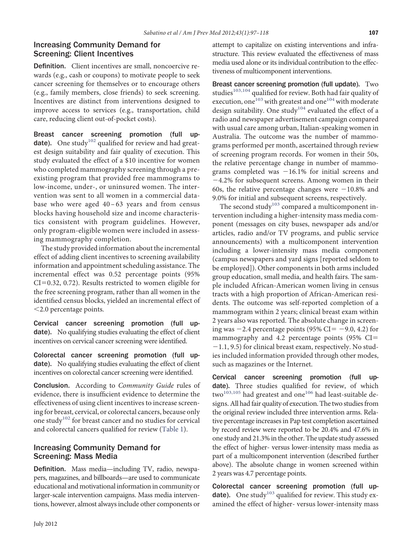### Increasing Community Demand for Screening: Client Incentives

Definition. Client incentives are small, noncoercive rewards (e.g., cash or coupons) to motivate people to seek cancer screening for themselves or to encourage others (e.g., family members, close friends) to seek screening. Incentives are distinct from interventions designed to improve access to services (e.g., transportation, child care, reducing client out-of-pocket costs).

Breast cancer screening promotion (full up-date). One study<sup>[102](#page-20-10)</sup> qualified for review and had greatest design suitability and fair quality of execution. This study evaluated the effect of a \$10 incentive for women who completed mammography screening through a preexisting program that provided free mammograms to low-income, under-, or uninsured women. The intervention was sent to all women in a commercial database who were aged 40 –63 years and from census blocks having household size and income characteristics consistent with program guidelines. However, only program-eligible women were included in assessing mammography completion.

The study provided information about the incremental effect of adding client incentives to screening availability information and appointment scheduling assistance. The incremental effect was 0.52 percentage points (95%  $CI=0.32, 0.72$ ). Results restricted to women eligible for the free screening program, rather than all women in the identifıed census blocks, yielded an incremental effect of 2.0 percentage points.

Cervical cancer screening promotion (full update). No qualifying studies evaluating the effect of client incentives on cervical cancer screening were identifıed.

Colorectal cancer screening promotion (full update). No qualifying studies evaluating the effect of client incentives on colorectal cancer screening were identifıed.

Conclusion. According to *Community Guide* rules of evidence, there is insuffıcient evidence to determine the effectiveness of using client incentives to increase screening for breast, cervical, or colorectal cancers, because only one study<sup>[102](#page-20-10)</sup> for breast cancer and no studies for cervical and colorectal cancers qualifıed for review [\(Table 1\)](#page-2-0).

# Increasing Community Demand for Screening: Mass Media

Definition. Mass media—including TV, radio, newspapers, magazines, and billboards—are used to communicate educational and motivational information in community or larger-scale intervention campaigns. Mass media interventions, however, almost always include other components or attempt to capitalize on existing interventions and infrastructure. This review evaluated the effectiveness of mass media used alone or its individual contribution to the effectiveness of multicomponent interventions.

Breast cancer screening promotion (full update). Two studies<sup>[103,104](#page-20-11)</sup> qualified for review. Both had fair quality of execution, one<sup>[103](#page-20-11)</sup> with greatest and one<sup>104</sup> with moderate design suitability. One study<sup>[104](#page-20-12)</sup> evaluated the effect of a radio and newspaper advertisement campaign compared with usual care among urban, Italian-speaking women in Australia. The outcome was the number of mammograms performed per month, ascertained through review of screening program records. For women in their 50s, the relative percentage change in number of mammograms completed was  $-16.1\%$  for initial screens and -4.2% for subsequent screens. Among women in their 60s, the relative percentage changes were  $-10.8\%$  and 9.0% for initial and subsequent screens, respectively.

The second study<sup>[103](#page-20-11)</sup> compared a multicomponent intervention including a higher-intensity mass media component (messages on city buses, newspaper ads and/or articles, radio and/or TV programs, and public service announcements) with a multicomponent intervention including a lower-intensity mass media component (campus newspapers and yard signs [reported seldom to be employed]). Other components in both arms included group education, small media, and health fairs. The sample included African-American women living in census tracts with a high proportion of African-American residents. The outcome was self-reported completion of a mammogram within 2 years; clinical breast exam within 2 years also was reported. The absolute change in screening was  $-2.4$  percentage points (95% CI=  $-9.0$ , 4.2) for mammography and 4.2 percentage points (95% CI -1.1, 9.5) for clinical breast exam, respectively. No studies included information provided through other modes, such as magazines or the Internet.

Cervical cancer screening promotion (full update). Three studies qualified for review, of which  $two^{103,105}$  $two^{103,105}$  $two^{103,105}$  had greatest and one<sup>[106](#page-20-13)</sup> had least-suitable designs. All had fair quality of execution. The two studies from the original review included three intervention arms. Relative percentage increases in Pap test completion ascertained by record review were reported to be 20.4% and 47.6% in one study and 21.3% in the other. The update study assessed the effect of higher- versus lower-intensity mass media as part of a multicomponent intervention (described further above). The absolute change in women screened within 2 years was 4.7 percentage points.

Colorectal cancer screening promotion (full up-date). One study<sup>[103](#page-20-11)</sup> qualified for review. This study examined the effect of higher- versus lower-intensity mass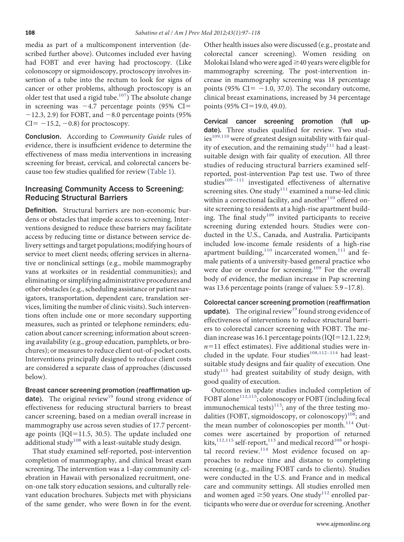media as part of a multicomponent intervention (described further above). Outcomes included ever having had FOBT and ever having had proctoscopy. (Like colonoscopy or sigmoidoscopy, proctoscopy involves insertion of a tube into the rectum to look for signs of cancer or other problems, although proctoscopy is an older test that used a rigid tube.<sup>107</sup>) The absolute change in screening was  $-4.7$  percentage points (95% CI=  $-12.3$ , 2.9) for FOBT, and  $-8.0$  percentage points (95%)  $CI = -15.2, -0.8$ ) for proctoscopy.

Conclusion. According to *Community Guide* rules of evidence, there is insuffıcient evidence to determine the effectiveness of mass media interventions in increasing screening for breast, cervical, and colorectal cancers because too few studies qualifıed for review [\(Table 1\)](#page-2-0).

### Increasing Community Access to Screening: Reducing Structural Barriers

Definition. Structural barriers are non-economic burdens or obstacles that impede access to screening. Interventions designed to reduce these barriers may facilitate access by reducing time or distance between service delivery settings and target populations; modifying hours of service to meet client needs; offering services in alternative or nonclinical settings (e.g., mobile mammography vans at worksites or in residential communities); and eliminating or simplifying administrative procedures and other obstacles (e.g., scheduling assistance or patient navigators, transportation, dependent care, translation services, limiting the number of clinic visits). Such interventions often include one or more secondary supporting measures, such as printed or telephone reminders; education about cancer screening; information about screening availability (e.g., group education, pamphlets, or brochures); or measures to reduce client out-of-pocket costs. Interventions principally designed to reduce client costs are considered a separate class of approaches (discussed below).

# Breast cancer screening promotion (reaffirmation up-

date). The original review<sup>[19](#page-18-24)</sup> found strong evidence of effectiveness for reducing structural barriers to breast cancer screening, based on a median overall increase in mammography use across seven studies of 17.7 percentage points ( $IQI=11.5$ , 30.5). The update included one additional study<sup>[108](#page-20-15)</sup> with a least-suitable study design.

That study examined self-reported, post-intervention completion of mammography, and clinical breast exam screening. The intervention was a 1-day community celebration in Hawaii with personalized recruitment, oneon-one talk story education sessions, and culturally relevant education brochures. Subjects met with physicians of the same gender, who were flown in for the event.

Other health issues also were discussed (e.g., prostate and colorectal cancer screening). Women residing on Molokai Island who were aged  $\geq$  40 years were eligible for mammography screening. The post-intervention increase in mammography screening was 18 percentage points (95%  $CI = -1.0, 37.0$ ). The secondary outcome, clinical breast examinations, increased by 34 percentage points (95% CI=19.0, 49.0).

Cervical cancer screening promotion (full update). Three studies qualified for review. Two studies<sup>109,110</sup> were of greatest design suitability with fair quality of execution, and the remaining study<sup>111</sup> had a leastsuitable design with fair quality of execution. All three studies of reducing structural barriers examined selfreported, post-intervention Pap test use. Two of three studies<sup>109-111</sup> investigated effectiveness of alternative screening sites. One study<sup>[111](#page-20-17)</sup> examined a nurse-led clinic within a correctional facility, and another $110$  offered onsite screening to residents at a high-rise apartment building. The final study<sup>109</sup> invited participants to receive screening during extended hours. Studies were conducted in the U.S., Canada, and Australia. Participants included low-income female residents of a high-rise apartment building, $110$  incarcerated women, $111$  and female patients of a university-based general practice who were due or overdue for screening.<sup>[109](#page-20-16)</sup> For the overall body of evidence, the median increase in Pap screening was 13.6 percentage points (range of values: 5.9 –17.8).

Colorectal cancer screening promotion (reaffirmation update). The original review<sup>[19](#page-18-24)</sup> found strong evidence of effectiveness of interventions to reduce structural barriers to colorectal cancer screening with FOBT. The median increase was 16.1 percentage points ( $IQI=12.1, 22.9;$  $n=11$  effect estimates). Five additional studies were included in the update. Four studies $108,112-114$  had leastsuitable study designs and fair quality of execution. One study<sup>[115](#page-20-19)</sup> had greatest suitability of study design, with good quality of execution.

Outcomes in update studies included completion of FOBT alone<sup>112,115</sup>; colonoscopy or FOBT (including fecal immunochemical tests)<sup>113</sup>; any of the three testing modalities (FOBT, sigmoidoscopy, or colonoscopy)<sup>108</sup>; and the mean number of colonoscopies per month.<sup>[114](#page-20-22)</sup> Outcomes were ascertained by proportion of returned kits, $^{112,115}$  $^{112,115}$  $^{112,115}$  self-report, $^{113}$  $^{113}$  $^{113}$  and medical record<sup>[108](#page-20-15)</sup> or hospi-tal record review.<sup>[114](#page-20-22)</sup> Most evidence focused on approaches to reduce time and distance to completing screening (e.g., mailing FOBT cards to clients). Studies were conducted in the U.S. and France and in medical care and community settings. All studies enrolled men and women aged  $\geq$ 50 years. One study<sup>[112](#page-20-20)</sup> enrolled participants who were due or overdue for screening. Another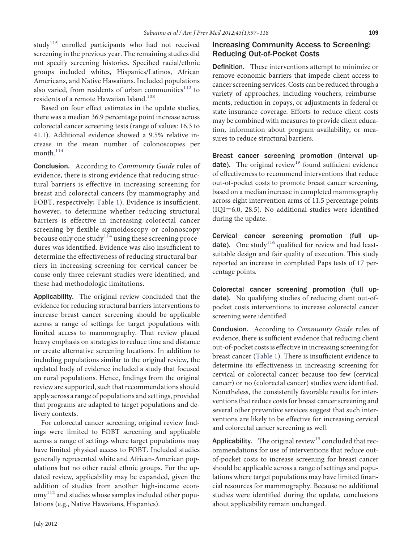study<sup>[115](#page-20-19)</sup> enrolled participants who had not received screening in the previous year. The remaining studies did not specify screening histories. Specifıed racial/ethnic groups included whites, Hispanics/Latinos, African Americans, and Native Hawaiians. Included populations also varied, from residents of urban communities<sup>[113](#page-20-21)</sup> to residents of a remote Hawaiian Island.<sup>[108](#page-20-15)</sup>

Based on four effect estimates in the update studies, there was a median 36.9 percentage point increase across colorectal cancer screening tests (range of values: 16.3 to 41.1). Additional evidence showed a 9.5% relative increase in the mean number of colonoscopies per month.<sup>[114](#page-20-22)</sup>

Conclusion. According to *Community Guide* rules of evidence, there is strong evidence that reducing structural barriers is effective in increasing screening for breast and colorectal cancers (by mammography and FOBT, respectively; [Table 1\)](#page-2-0). Evidence is insuffıcient, however, to determine whether reducing structural barriers is effective in increasing colorectal cancer screening by flexible sigmoidoscopy or colonoscopy because only one study<sup>[114](#page-20-22)</sup> using these screening procedures was identifıed. Evidence was also insuffıcient to determine the effectiveness of reducing structural barriers in increasing screening for cervical cancer because only three relevant studies were identifıed, and these had methodologic limitations.

Applicability. The original review concluded that the evidence for reducing structural barriers interventions to increase breast cancer screening should be applicable across a range of settings for target populations with limited access to mammography. That review placed heavy emphasis on strategies to reduce time and distance or create alternative screening locations. In addition to including populations similar to the original review, the updated body of evidence included a study that focused on rural populations. Hence, fındings from the original review are supported, such that recommendations should apply across a range of populations and settings, provided that programs are adapted to target populations and delivery contexts.

For colorectal cancer screening, original review fındings were limited to FOBT screening and applicable across a range of settings where target populations may have limited physical access to FOBT. Included studies generally represented white and African-American populations but no other racial ethnic groups. For the updated review, applicability may be expanded, given the addition of studies from another high-income econ- $\text{omy}^{112}$  $\text{omy}^{112}$  $\text{omy}^{112}$  and studies whose samples included other populations (e.g., Native Hawaiians, Hispanics).

### Increasing Community Access to Screening: Reducing Out-of-Pocket Costs

Definition. These interventions attempt to minimize or remove economic barriers that impede client access to cancer screening services. Costs can be reduced through a variety of approaches, including vouchers, reimbursements, reduction in copays, or adjustments in federal or state insurance coverage. Efforts to reduce client costs may be combined with measures to provide client education, information about program availability, or measures to reduce structural barriers.

Breast cancer screening promotion (interval up-date). The original review<sup>[19](#page-18-24)</sup> found sufficient evidence of effectiveness to recommend interventions that reduce out-of-pocket costs to promote breast cancer screening, based on a median increase in completed mammography across eight intervention arms of 11.5 percentage points  $(IQI=6.0, 28.5)$ . No additional studies were identified during the update.

Cervical cancer screening promotion (full up-date). One study<sup>[116](#page-20-23)</sup> qualified for review and had leastsuitable design and fair quality of execution. This study reported an increase in completed Paps tests of 17 percentage points.

Colorectal cancer screening promotion (full update). No qualifying studies of reducing client out-ofpocket costs interventions to increase colorectal cancer screening were identifıed.

Conclusion. According to *Community Guide* rules of evidence, there is suffıcient evidence that reducing client out-of-pocket costs is effective in increasing screening for breast cancer [\(Table 1\)](#page-2-0). There is insuffıcient evidence to determine its effectiveness in increasing screening for cervical or colorectal cancer because too few (cervical cancer) or no (colorectal cancer) studies were identifıed. Nonetheless, the consistently favorable results for interventions that reduce costs for breast cancer screening and several other preventive services suggest that such interventions are likely to be effective for increasing cervical and colorectal cancer screening as well.

**Applicability.** The original review<sup>[19](#page-18-24)</sup> concluded that recommendations for use of interventions that reduce outof-pocket costs to increase screening for breast cancer should be applicable across a range of settings and populations where target populations may have limited fınancial resources for mammography. Because no additional studies were identifıed during the update, conclusions about applicability remain unchanged.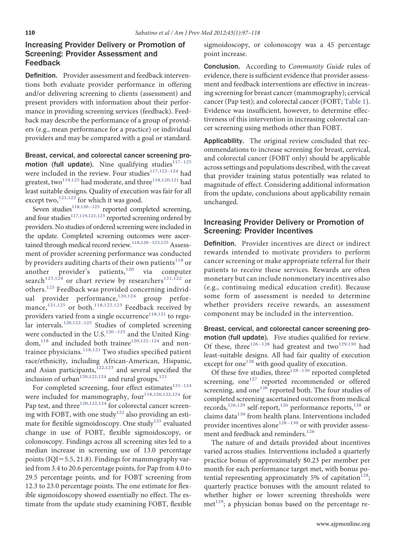# Increasing Provider Delivery or Promotion of Screening: Provider Assessment and Feedback

Definition. Provider assessment and feedback interventions both evaluate provider performance in offering and/or delivering screening to clients (assessment) and present providers with information about their performance in providing screening services (feedback). Feedback may describe the performance of a group of providers (e.g., mean performance for a practice) or individual providers and may be compared with a goal or standard.

Breast, cervical, and colorectal cancer screening promotion (full update). Nine qualifying studies $117-125$ were included in the review. Four studies<sup>117,122-124</sup> had greatest, two $^{119,125}$  $^{119,125}$  $^{119,125}$  had moderate, and three $^{118,120,121}$  $^{118,120,121}$  $^{118,120,121}$  had least suitable designs. Quality of execution was fair for all except two, $^{121,122}$  $^{121,122}$  $^{121,122}$  for which it was good.

Seven studies<sup>118,120-125</sup> reported completed screening, and four studies<sup>117,119,121,123</sup> reported screening ordered by providers. No studies of ordered screening were included in the update. Completed screening outcomes were ascertained through medical record review.<sup>118,120-123,125</sup> Assessment of provider screening performance was conducted by providers auditing charts of their own patients<sup>[118](#page-20-26)</sup> or another provider's patients, $120$  via computer search $123,124$  or chart review by researchers<sup>[121,122](#page-20-27)</sup> or others.<sup>[125](#page-21-0)</sup> Feedback was provided concerning individ-ual provider performance,<sup>[120,124](#page-20-28)</sup> group perfor-mance,<sup>[121,125](#page-20-27)</sup> or both.<sup>[118,122,123](#page-20-26)</sup> Feedback received by providers varied from a single occurrence<sup>[118,121](#page-20-26)</sup> to regular intervals.<sup>120,122-125</sup> Studies of completed screening were conducted in the U.S. $^{120-125}$  and the United King-dom,<sup>[118](#page-20-26)</sup> and included both trainee<sup>120,122-124</sup> and nontrainee physicians. $118,121$  Two studies specified patient race/ethnicity, including African-American, Hispanic, and Asian participants,<sup>[122,123](#page-20-30)</sup> and several specified the inclusion of urban<sup>[120,122,124](#page-20-28)</sup> and rural groups.<sup>[121](#page-20-27)</sup>

For completed screening, four effect estimates<sup>121-124</sup> were included for mammography, four<sup>[118,120,122,124](#page-20-26)</sup> for Pap test, and three<sup>[120,122,124](#page-20-28)</sup> for colorectal cancer screen-ing with FOBT, with one study<sup>[122](#page-20-30)</sup> also providing an esti-mate for flexible sigmoidoscopy. One study<sup>[125](#page-21-0)</sup> evaluated change in use of FOBT, flexible sigmoidoscopy, or colonoscopy. Findings across all screening sites led to a median increase in screening use of 13.0 percentage points (IQI=5.5, 21.8). Findings for mammography varied from 3.4 to 20.6 percentage points, for Pap from 4.0 to 29.5 percentage points, and for FOBT screening from 12.3 to 23.0 percentage points. The one estimate for flexible sigmoidoscopy showed essentially no effect. The estimate from the update study examining FOBT, flexible sigmoidoscopy, or colonoscopy was a 45 percentage point increase.

Conclusion. According to *Community Guide* rules of evidence, there is suffıcient evidence that provider assessment and feedback interventions are effective in increasing screening for breast cancer (mammography); cervical cancer (Pap test); and colorectal cancer (FOBT; [Table 1\)](#page-2-0). Evidence was insuffıcient, however, to determine effectiveness of this intervention in increasing colorectal cancer screening using methods other than FOBT.

Applicability. The original review concluded that recommendations to increase screening for breast, cervical, and colorectal cancer (FOBT only) should be applicable across settings and populations described, with the caveat that provider training status potentially was related to magnitude of effect. Considering additional information from the update, conclusions about applicability remain unchanged.

### Increasing Provider Delivery or Promotion of Screening: Provider Incentives

Definition. Provider incentives are direct or indirect rewards intended to motivate providers to perform cancer screening or make appropriate referral for their patients to receive these services. Rewards are often monetary but can include nonmonetary incentives also (e.g., continuing medical education credit). Because some form of assessment is needed to determine whether providers receive rewards, an assessment component may be included in the intervention.

Breast, cervical, and colorectal cancer screening promotion (full update). Five studies qualifıed for review. Of these, three<sup>126-128</sup> had greatest and two<sup>129,130</sup> had least-suitable designs. All had fair quality of execution except for one<sup>[128](#page-21-3)</sup> with good quality of execution.

Of these five studies, three<sup>128-130</sup> reported completed screening, one<sup>[127](#page-21-4)</sup> reported recommended or offered screening, and one<sup>[126](#page-21-1)</sup> reported both. The four studies of completed screening ascertained outcomes from medical records,<sup>[126,129](#page-21-1)</sup> self-report,<sup>[126](#page-21-1)</sup> performance reports,<sup>[128](#page-21-3)</sup> or claims data[130](#page-21-5) from health plans. Interventions included provider incentives alone<sup>128-130</sup> or with provider assess-ment and feedback and reminders.<sup>[126](#page-21-1)</sup>

The nature of and details provided about incentives varied across studies. Interventions included a quarterly practice bonus of approximately \$0.23 per member per month for each performance target met, with bonus potential representing approximately 5% of capitation<sup>128</sup>; quarterly practice bonuses with the amount related to whether higher or lower screening thresholds were  $met<sup>129</sup>$ ; a physician bonus based on the percentage re-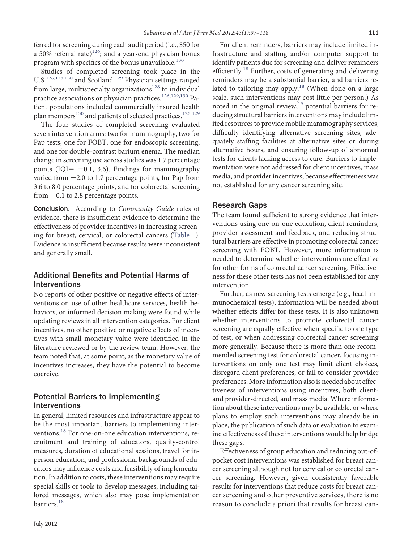ferred for screening during each audit period (i.e., \$50 for a 50% referral rate) $126$ ; and a year-end physician bonus program with specifics of the bonus unavailable. $130$ 

Studies of completed screening took place in the U.S.<sup>[126,128,130](#page-21-1)</sup> and Scotland.<sup>[129](#page-21-2)</sup> Physician settings ranged from large, multispecialty organizations $128$  to individual practice associations or physician practices.[126,129,130](#page-21-1) Patient populations included commercially insured health plan members<sup>[130](#page-21-5)</sup> and patients of selected practices.<sup>[126,129](#page-21-1)</sup>

The four studies of completed screening evaluated seven intervention arms: two for mammography, two for Pap tests, one for FOBT, one for endoscopic screening, and one for double-contrast barium enema. The median change in screening use across studies was 1.7 percentage points (IQI=  $-0.1$ , 3.6). Findings for mammography varied from -2.0 to 1.7 percentage points, for Pap from 3.6 to 8.0 percentage points, and for colorectal screening from -0.1 to 2.8 percentage points.

Conclusion. According to *Community Guide* rules of evidence, there is insuffıcient evidence to determine the effectiveness of provider incentives in increasing screening for breast, cervical, or colorectal cancers [\(Table 1\)](#page-2-0). Evidence is insuffıcient because results were inconsistent and generally small.

## Additional Benefits and Potential Harms of Interventions

No reports of other positive or negative effects of interventions on use of other healthcare services, health behaviors, or informed decision making were found while updating reviews in all intervention categories. For client incentives, no other positive or negative effects of incentives with small monetary value were identifıed in the literature reviewed or by the review team. However, the team noted that, at some point, as the monetary value of incentives increases, they have the potential to become coercive.

### Potential Barriers to Implementing Interventions

In general, limited resources and infrastructure appear to be the most important barriers to implementing inter-ventions.<sup>[18](#page-18-5)</sup> For one-on-one education interventions, recruitment and training of educators, quality-control measures, duration of educational sessions, travel for inperson education, and professional backgrounds of educators may influence costs and feasibility of implementation. In addition to costs, these interventions may require special skills or tools to develop messages, including tailored messages, which also may pose implementation barriers.<sup>[18](#page-18-5)</sup>

July 2012

For client reminders, barriers may include limited infrastructure and staffıng and/or computer support to identify patients due for screening and deliver reminders efficiently.<sup>[18](#page-18-5)</sup> Further, costs of generating and delivering reminders may be a substantial barrier, and barriers re-lated to tailoring may apply.<sup>[18](#page-18-5)</sup> (When done on a large scale, such interventions may cost little per person.) As noted in the original review, $19$  potential barriers for reducing structural barriers interventions may include limited resources to provide mobile mammography services, diffıculty identifying alternative screening sites, adequately staffıng facilities at alternative sites or during alternative hours, and ensuring follow-up of abnormal tests for clients lacking access to care. Barriers to implementation were not addressed for client incentives, mass media, and provider incentives, because effectiveness was not established for any cancer screening site.

### Research Gaps

The team found suffıcient to strong evidence that interventions using one-on-one education, client reminders, provider assessment and feedback, and reducing structural barriers are effective in promoting colorectal cancer screening with FOBT. However, more information is needed to determine whether interventions are effective for other forms of colorectal cancer screening. Effectiveness for these other tests has not been established for any intervention.

Further, as new screening tests emerge (e.g., fecal immunochemical tests), information will be needed about whether effects differ for these tests. It is also unknown whether interventions to promote colorectal cancer screening are equally effective when specifıc to one type of test, or when addressing colorectal cancer screening more generally. Because there is more than one recommended screening test for colorectal cancer, focusing interventions on only one test may limit client choices, disregard client preferences, or fail to consider provider preferences. More information also is needed about effectiveness of interventions using incentives, both clientand provider-directed, and mass media. Where information about these interventions may be available, or where plans to employ such interventions may already be in place, the publication of such data or evaluation to examine effectiveness of these interventions would help bridge these gaps.

Effectiveness of group education and reducing out-ofpocket cost interventions was established for breast cancer screening although not for cervical or colorectal cancer screening. However, given consistently favorable results for interventions that reduce costs for breast cancer screening and other preventive services, there is no reason to conclude a priori that results for breast can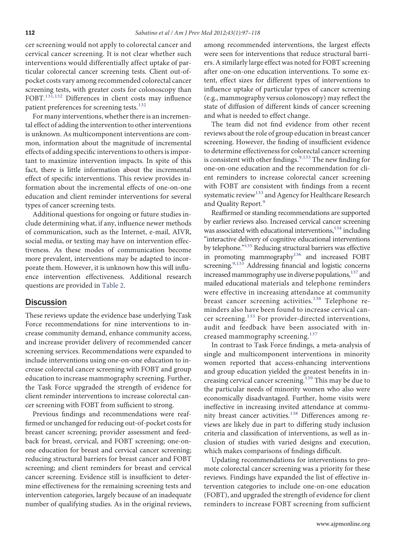cer screening would not apply to colorectal cancer and cervical cancer screening. It is not clear whether such interventions would differentially affect uptake of particular colorectal cancer screening tests. Client out-ofpocket costs vary among recommended colorectal cancer screening tests, with greater costs for colonoscopy than FOBT.<sup>[131,132](#page-21-6)</sup> Differences in client costs may influence patient preferences for screening tests.<sup>[132](#page-21-7)</sup>

For many interventions, whether there is an incremental effect of adding the intervention to other interventions is unknown. As multicomponent interventions are common, information about the magnitude of incremental effects of adding specifıc interventions to others is important to maximize intervention impacts. In spite of this fact, there is little information about the incremental effect of specifıc interventions. This review provides information about the incremental effects of one-on-one education and client reminder interventions for several types of cancer screening tests.

Additional questions for ongoing or future studies include determining what, if any, influence newer methods of communication, such as the Internet, e-mail, AIVR, social media, or texting may have on intervention effectiveness. As these modes of communication become more prevalent, interventions may be adapted to incorporate them. However, it is unknown how this will influence intervention effectiveness. Additional research questions are provided in [Table 2.](#page-16-0)

### Discussion

These reviews update the evidence base underlying Task Force recommendations for nine interventions to increase community demand, enhance community access, and increase provider delivery of recommended cancer screening services. Recommendations were expanded to include interventions using one-on-one education to increase colorectal cancer screening with FOBT and group education to increase mammography screening. Further, the Task Force upgraded the strength of evidence for client reminder interventions to increase colorectal cancer screening with FOBT from suffıcient to strong.

Previous fındings and recommendations were reaffırmed or unchanged for reducing out-of-pocket costs for breast cancer screening; provider assessment and feedback for breast, cervical, and FOBT screening; one-onone education for breast and cervical cancer screening; reducing structural barriers for breast cancer and FOBT screening; and client reminders for breast and cervical cancer screening. Evidence still is insuffıcient to determine effectiveness for the remaining screening tests and intervention categories, largely because of an inadequate number of qualifying studies. As in the original reviews,

among recommended interventions, the largest effects were seen for interventions that reduce structural barriers. A similarly large effect was noted for FOBT screening after one-on-one education interventions. To some extent, effect sizes for different types of interventions to influence uptake of particular types of cancer screening (e.g., mammography versus colonoscopy) may reflect the state of diffusion of different kinds of cancer screening and what is needed to effect change.

The team did not fınd evidence from other recent reviews about the role of group education in breast cancer screening. However, the fınding of insuffıcient evidence to determine effectiveness for colorectal cancer screening is consistent with other findings.<sup>[9,133](#page-18-25)</sup> The new finding for one-on-one education and the recommendation for client reminders to increase colorectal cancer screening with FOBT are consistent with fındings from a recent systematic review<sup>[133](#page-21-8)</sup> and Agency for Healthcare Research and Quality Report.<sup>[9](#page-18-25)</sup>

Reaffırmed or standing recommendations are supported by earlier reviews also. Increased cervical cancer screening was associated with educational interventions,<sup>134</sup> including "interactive delivery of cognitive educational interventions by telephone.["135](#page-21-10) Reducing structural barriers was effective in promoting mammography<sup>136</sup> and increased FOBT screening.<sup>9,133</sup> Addressing financial and logistic concerns increased mammography use in diverse populations,<sup>137</sup> and mailed educational materials and telephone reminders were effective in increasing attendance at community breast cancer screening activities.<sup>[138](#page-21-13)</sup> Telephone reminders also have been found to increase cervical cancer screening.[135](#page-21-10) For provider-directed interventions, audit and feedback have been associated with in-creased mammography screening.<sup>[137](#page-21-12)</sup>

In contrast to Task Force fındings, a meta-analysis of single and multicomponent interventions in minority women reported that access-enhancing interventions and group education yielded the greatest benefıts in in-creasing cervical cancer screening.<sup>[139](#page-21-14)</sup> This may be due to the particular needs of minority women who also were economically disadvantaged. Further, home visits were ineffective in increasing invited attendance at commu-nity breast cancer activities.<sup>[138](#page-21-13)</sup> Differences among reviews are likely due in part to differing study inclusion criteria and classifıcation of interventions, as well as inclusion of studies with varied designs and execution, which makes comparisons of fındings diffıcult.

Updating recommendations for interventions to promote colorectal cancer screening was a priority for these reviews. Findings have expanded the list of effective intervention categories to include one-on-one education (FOBT), and upgraded the strength of evidence for client reminders to increase FOBT screening from suffıcient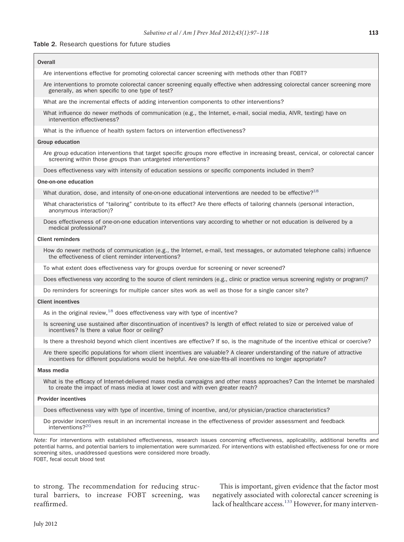#### <span id="page-16-0"></span>Table 2. Research questions for future studies

Г

| Are interventions effective for promoting colorectal cancer screening with methods other than FOBT?<br>Are interventions to promote colorectal cancer screening equally effective when addressing colorectal cancer screening more<br>generally, as when specific to one type of test?<br>What are the incremental effects of adding intervention components to other interventions?<br>What influence do newer methods of communication (e.g., the Internet, e-mail, social media, AIVR, texting) have on<br>intervention effectiveness?<br>What is the influence of health system factors on intervention effectiveness?<br><b>Group education</b><br>Are group education interventions that target specific groups more effective in increasing breast, cervical, or colorectal cancer<br>screening within those groups than untargeted interventions?<br>Does effectiveness vary with intensity of education sessions or specific components included in them?<br>One-on-one education<br>What duration, dose, and intensity of one-on-one educational interventions are needed to be effective? <sup>18</sup><br>What characteristics of "tailoring" contribute to its effect? Are there effects of tailoring channels (personal interaction,<br>anonymous interaction)?<br>Does effectiveness of one-on-one education interventions vary according to whether or not education is delivered by a<br>medical professional?<br><b>Client reminders</b><br>How do newer methods of communication (e.g., the Internet, e-mail, text messages, or automated telephone calls) influence<br>the effectiveness of client reminder interventions?<br>To what extent does effectiveness vary for groups overdue for screening or never screened?<br>Does effectiveness vary according to the source of client reminders (e.g., clinic or practice versus screening registry or program)?<br>Do reminders for screenings for multiple cancer sites work as well as those for a single cancer site?<br><b>Client incentives</b><br>As in the original review, $18$ does effectiveness vary with type of incentive?<br>Is screening use sustained after discontinuation of incentives? Is length of effect related to size or perceived value of<br>incentives? Is there a value floor or ceiling?<br>Is there a threshold beyond which client incentives are effective? If so, is the magnitude of the incentive ethical or coercive?<br>Are there specific populations for whom client incentives are valuable? A clearer understanding of the nature of attractive<br>incentives for different populations would be helpful. Are one-size-fits-all incentives no longer appropriate?<br>Mass media<br>What is the efficacy of Internet-delivered mass media campaigns and other mass approaches? Can the Internet be marshaled<br>to create the impact of mass media at lower cost and with even greater reach?<br><b>Provider incentives</b><br>Does effectiveness vary with type of incentive, timing of incentive, and/or physician/practice characteristics?<br>Do provider incentives result in an incremental increase in the effectiveness of provider assessment and feedback<br>interventions? <sup>20</sup> | Overall |
|-------------------------------------------------------------------------------------------------------------------------------------------------------------------------------------------------------------------------------------------------------------------------------------------------------------------------------------------------------------------------------------------------------------------------------------------------------------------------------------------------------------------------------------------------------------------------------------------------------------------------------------------------------------------------------------------------------------------------------------------------------------------------------------------------------------------------------------------------------------------------------------------------------------------------------------------------------------------------------------------------------------------------------------------------------------------------------------------------------------------------------------------------------------------------------------------------------------------------------------------------------------------------------------------------------------------------------------------------------------------------------------------------------------------------------------------------------------------------------------------------------------------------------------------------------------------------------------------------------------------------------------------------------------------------------------------------------------------------------------------------------------------------------------------------------------------------------------------------------------------------------------------------------------------------------------------------------------------------------------------------------------------------------------------------------------------------------------------------------------------------------------------------------------------------------------------------------------------------------------------------------------------------------------------------------------------------------------------------------------------------------------------------------------------------------------------------------------------------------------------------------------------------------------------------------------------------------------------------------------------------------------------------------------------------------------------------------------------------------------------------------------------------------------------------------------------------------------------------------------------------------------------------------------------------------------------------------------------------------------------------------------------------------------------------------------------------------------------------------------------------------------------------------------------------------------------------------------------|---------|
|                                                                                                                                                                                                                                                                                                                                                                                                                                                                                                                                                                                                                                                                                                                                                                                                                                                                                                                                                                                                                                                                                                                                                                                                                                                                                                                                                                                                                                                                                                                                                                                                                                                                                                                                                                                                                                                                                                                                                                                                                                                                                                                                                                                                                                                                                                                                                                                                                                                                                                                                                                                                                                                                                                                                                                                                                                                                                                                                                                                                                                                                                                                                                                                                                   |         |
|                                                                                                                                                                                                                                                                                                                                                                                                                                                                                                                                                                                                                                                                                                                                                                                                                                                                                                                                                                                                                                                                                                                                                                                                                                                                                                                                                                                                                                                                                                                                                                                                                                                                                                                                                                                                                                                                                                                                                                                                                                                                                                                                                                                                                                                                                                                                                                                                                                                                                                                                                                                                                                                                                                                                                                                                                                                                                                                                                                                                                                                                                                                                                                                                                   |         |
|                                                                                                                                                                                                                                                                                                                                                                                                                                                                                                                                                                                                                                                                                                                                                                                                                                                                                                                                                                                                                                                                                                                                                                                                                                                                                                                                                                                                                                                                                                                                                                                                                                                                                                                                                                                                                                                                                                                                                                                                                                                                                                                                                                                                                                                                                                                                                                                                                                                                                                                                                                                                                                                                                                                                                                                                                                                                                                                                                                                                                                                                                                                                                                                                                   |         |
|                                                                                                                                                                                                                                                                                                                                                                                                                                                                                                                                                                                                                                                                                                                                                                                                                                                                                                                                                                                                                                                                                                                                                                                                                                                                                                                                                                                                                                                                                                                                                                                                                                                                                                                                                                                                                                                                                                                                                                                                                                                                                                                                                                                                                                                                                                                                                                                                                                                                                                                                                                                                                                                                                                                                                                                                                                                                                                                                                                                                                                                                                                                                                                                                                   |         |
|                                                                                                                                                                                                                                                                                                                                                                                                                                                                                                                                                                                                                                                                                                                                                                                                                                                                                                                                                                                                                                                                                                                                                                                                                                                                                                                                                                                                                                                                                                                                                                                                                                                                                                                                                                                                                                                                                                                                                                                                                                                                                                                                                                                                                                                                                                                                                                                                                                                                                                                                                                                                                                                                                                                                                                                                                                                                                                                                                                                                                                                                                                                                                                                                                   |         |
|                                                                                                                                                                                                                                                                                                                                                                                                                                                                                                                                                                                                                                                                                                                                                                                                                                                                                                                                                                                                                                                                                                                                                                                                                                                                                                                                                                                                                                                                                                                                                                                                                                                                                                                                                                                                                                                                                                                                                                                                                                                                                                                                                                                                                                                                                                                                                                                                                                                                                                                                                                                                                                                                                                                                                                                                                                                                                                                                                                                                                                                                                                                                                                                                                   |         |
|                                                                                                                                                                                                                                                                                                                                                                                                                                                                                                                                                                                                                                                                                                                                                                                                                                                                                                                                                                                                                                                                                                                                                                                                                                                                                                                                                                                                                                                                                                                                                                                                                                                                                                                                                                                                                                                                                                                                                                                                                                                                                                                                                                                                                                                                                                                                                                                                                                                                                                                                                                                                                                                                                                                                                                                                                                                                                                                                                                                                                                                                                                                                                                                                                   |         |
|                                                                                                                                                                                                                                                                                                                                                                                                                                                                                                                                                                                                                                                                                                                                                                                                                                                                                                                                                                                                                                                                                                                                                                                                                                                                                                                                                                                                                                                                                                                                                                                                                                                                                                                                                                                                                                                                                                                                                                                                                                                                                                                                                                                                                                                                                                                                                                                                                                                                                                                                                                                                                                                                                                                                                                                                                                                                                                                                                                                                                                                                                                                                                                                                                   |         |
|                                                                                                                                                                                                                                                                                                                                                                                                                                                                                                                                                                                                                                                                                                                                                                                                                                                                                                                                                                                                                                                                                                                                                                                                                                                                                                                                                                                                                                                                                                                                                                                                                                                                                                                                                                                                                                                                                                                                                                                                                                                                                                                                                                                                                                                                                                                                                                                                                                                                                                                                                                                                                                                                                                                                                                                                                                                                                                                                                                                                                                                                                                                                                                                                                   |         |
|                                                                                                                                                                                                                                                                                                                                                                                                                                                                                                                                                                                                                                                                                                                                                                                                                                                                                                                                                                                                                                                                                                                                                                                                                                                                                                                                                                                                                                                                                                                                                                                                                                                                                                                                                                                                                                                                                                                                                                                                                                                                                                                                                                                                                                                                                                                                                                                                                                                                                                                                                                                                                                                                                                                                                                                                                                                                                                                                                                                                                                                                                                                                                                                                                   |         |
|                                                                                                                                                                                                                                                                                                                                                                                                                                                                                                                                                                                                                                                                                                                                                                                                                                                                                                                                                                                                                                                                                                                                                                                                                                                                                                                                                                                                                                                                                                                                                                                                                                                                                                                                                                                                                                                                                                                                                                                                                                                                                                                                                                                                                                                                                                                                                                                                                                                                                                                                                                                                                                                                                                                                                                                                                                                                                                                                                                                                                                                                                                                                                                                                                   |         |
|                                                                                                                                                                                                                                                                                                                                                                                                                                                                                                                                                                                                                                                                                                                                                                                                                                                                                                                                                                                                                                                                                                                                                                                                                                                                                                                                                                                                                                                                                                                                                                                                                                                                                                                                                                                                                                                                                                                                                                                                                                                                                                                                                                                                                                                                                                                                                                                                                                                                                                                                                                                                                                                                                                                                                                                                                                                                                                                                                                                                                                                                                                                                                                                                                   |         |
|                                                                                                                                                                                                                                                                                                                                                                                                                                                                                                                                                                                                                                                                                                                                                                                                                                                                                                                                                                                                                                                                                                                                                                                                                                                                                                                                                                                                                                                                                                                                                                                                                                                                                                                                                                                                                                                                                                                                                                                                                                                                                                                                                                                                                                                                                                                                                                                                                                                                                                                                                                                                                                                                                                                                                                                                                                                                                                                                                                                                                                                                                                                                                                                                                   |         |
|                                                                                                                                                                                                                                                                                                                                                                                                                                                                                                                                                                                                                                                                                                                                                                                                                                                                                                                                                                                                                                                                                                                                                                                                                                                                                                                                                                                                                                                                                                                                                                                                                                                                                                                                                                                                                                                                                                                                                                                                                                                                                                                                                                                                                                                                                                                                                                                                                                                                                                                                                                                                                                                                                                                                                                                                                                                                                                                                                                                                                                                                                                                                                                                                                   |         |
|                                                                                                                                                                                                                                                                                                                                                                                                                                                                                                                                                                                                                                                                                                                                                                                                                                                                                                                                                                                                                                                                                                                                                                                                                                                                                                                                                                                                                                                                                                                                                                                                                                                                                                                                                                                                                                                                                                                                                                                                                                                                                                                                                                                                                                                                                                                                                                                                                                                                                                                                                                                                                                                                                                                                                                                                                                                                                                                                                                                                                                                                                                                                                                                                                   |         |
|                                                                                                                                                                                                                                                                                                                                                                                                                                                                                                                                                                                                                                                                                                                                                                                                                                                                                                                                                                                                                                                                                                                                                                                                                                                                                                                                                                                                                                                                                                                                                                                                                                                                                                                                                                                                                                                                                                                                                                                                                                                                                                                                                                                                                                                                                                                                                                                                                                                                                                                                                                                                                                                                                                                                                                                                                                                                                                                                                                                                                                                                                                                                                                                                                   |         |
|                                                                                                                                                                                                                                                                                                                                                                                                                                                                                                                                                                                                                                                                                                                                                                                                                                                                                                                                                                                                                                                                                                                                                                                                                                                                                                                                                                                                                                                                                                                                                                                                                                                                                                                                                                                                                                                                                                                                                                                                                                                                                                                                                                                                                                                                                                                                                                                                                                                                                                                                                                                                                                                                                                                                                                                                                                                                                                                                                                                                                                                                                                                                                                                                                   |         |
|                                                                                                                                                                                                                                                                                                                                                                                                                                                                                                                                                                                                                                                                                                                                                                                                                                                                                                                                                                                                                                                                                                                                                                                                                                                                                                                                                                                                                                                                                                                                                                                                                                                                                                                                                                                                                                                                                                                                                                                                                                                                                                                                                                                                                                                                                                                                                                                                                                                                                                                                                                                                                                                                                                                                                                                                                                                                                                                                                                                                                                                                                                                                                                                                                   |         |
|                                                                                                                                                                                                                                                                                                                                                                                                                                                                                                                                                                                                                                                                                                                                                                                                                                                                                                                                                                                                                                                                                                                                                                                                                                                                                                                                                                                                                                                                                                                                                                                                                                                                                                                                                                                                                                                                                                                                                                                                                                                                                                                                                                                                                                                                                                                                                                                                                                                                                                                                                                                                                                                                                                                                                                                                                                                                                                                                                                                                                                                                                                                                                                                                                   |         |
|                                                                                                                                                                                                                                                                                                                                                                                                                                                                                                                                                                                                                                                                                                                                                                                                                                                                                                                                                                                                                                                                                                                                                                                                                                                                                                                                                                                                                                                                                                                                                                                                                                                                                                                                                                                                                                                                                                                                                                                                                                                                                                                                                                                                                                                                                                                                                                                                                                                                                                                                                                                                                                                                                                                                                                                                                                                                                                                                                                                                                                                                                                                                                                                                                   |         |
|                                                                                                                                                                                                                                                                                                                                                                                                                                                                                                                                                                                                                                                                                                                                                                                                                                                                                                                                                                                                                                                                                                                                                                                                                                                                                                                                                                                                                                                                                                                                                                                                                                                                                                                                                                                                                                                                                                                                                                                                                                                                                                                                                                                                                                                                                                                                                                                                                                                                                                                                                                                                                                                                                                                                                                                                                                                                                                                                                                                                                                                                                                                                                                                                                   |         |
|                                                                                                                                                                                                                                                                                                                                                                                                                                                                                                                                                                                                                                                                                                                                                                                                                                                                                                                                                                                                                                                                                                                                                                                                                                                                                                                                                                                                                                                                                                                                                                                                                                                                                                                                                                                                                                                                                                                                                                                                                                                                                                                                                                                                                                                                                                                                                                                                                                                                                                                                                                                                                                                                                                                                                                                                                                                                                                                                                                                                                                                                                                                                                                                                                   |         |
|                                                                                                                                                                                                                                                                                                                                                                                                                                                                                                                                                                                                                                                                                                                                                                                                                                                                                                                                                                                                                                                                                                                                                                                                                                                                                                                                                                                                                                                                                                                                                                                                                                                                                                                                                                                                                                                                                                                                                                                                                                                                                                                                                                                                                                                                                                                                                                                                                                                                                                                                                                                                                                                                                                                                                                                                                                                                                                                                                                                                                                                                                                                                                                                                                   |         |
|                                                                                                                                                                                                                                                                                                                                                                                                                                                                                                                                                                                                                                                                                                                                                                                                                                                                                                                                                                                                                                                                                                                                                                                                                                                                                                                                                                                                                                                                                                                                                                                                                                                                                                                                                                                                                                                                                                                                                                                                                                                                                                                                                                                                                                                                                                                                                                                                                                                                                                                                                                                                                                                                                                                                                                                                                                                                                                                                                                                                                                                                                                                                                                                                                   |         |
|                                                                                                                                                                                                                                                                                                                                                                                                                                                                                                                                                                                                                                                                                                                                                                                                                                                                                                                                                                                                                                                                                                                                                                                                                                                                                                                                                                                                                                                                                                                                                                                                                                                                                                                                                                                                                                                                                                                                                                                                                                                                                                                                                                                                                                                                                                                                                                                                                                                                                                                                                                                                                                                                                                                                                                                                                                                                                                                                                                                                                                                                                                                                                                                                                   |         |
|                                                                                                                                                                                                                                                                                                                                                                                                                                                                                                                                                                                                                                                                                                                                                                                                                                                                                                                                                                                                                                                                                                                                                                                                                                                                                                                                                                                                                                                                                                                                                                                                                                                                                                                                                                                                                                                                                                                                                                                                                                                                                                                                                                                                                                                                                                                                                                                                                                                                                                                                                                                                                                                                                                                                                                                                                                                                                                                                                                                                                                                                                                                                                                                                                   |         |
|                                                                                                                                                                                                                                                                                                                                                                                                                                                                                                                                                                                                                                                                                                                                                                                                                                                                                                                                                                                                                                                                                                                                                                                                                                                                                                                                                                                                                                                                                                                                                                                                                                                                                                                                                                                                                                                                                                                                                                                                                                                                                                                                                                                                                                                                                                                                                                                                                                                                                                                                                                                                                                                                                                                                                                                                                                                                                                                                                                                                                                                                                                                                                                                                                   |         |

*Note:* For interventions with established effectiveness, research issues concerning effectiveness, applicability, additional benefits and potential harms, and potential barriers to implementation were summarized. For interventions with established effectiveness for one or more screening sites, unaddressed questions were considered more broadly. FOBT, fecal occult blood test

to strong. The recommendation for reducing structural barriers, to increase FOBT screening, was reaffırmed.

This is important, given evidence that the factor most negatively associated with colorectal cancer screening is lack of healthcare access.<sup>[133](#page-21-8)</sup> However, for many interven-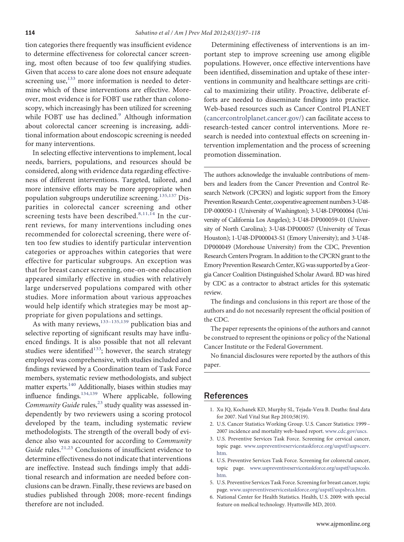tion categories there frequently was insuffıcient evidence to determine effectiveness for colorectal cancer screening, most often because of too few qualifying studies. Given that access to care alone does not ensure adequate screening use, $133$  more information is needed to determine which of these interventions are effective. Moreover, most evidence is for FOBT use rather than colonoscopy, which increasingly has been utilized for screening while FOBT use has declined.<sup>[9](#page-18-25)</sup> Although information about colorectal cancer screening is increasing, additional information about endoscopic screening is needed for many interventions.

In selecting effective interventions to implement, local needs, barriers, populations, and resources should be considered, along with evidence data regarding effectiveness of different interventions. Targeted, tailored, and more intensive efforts may be more appropriate when population subgroups underutilize screening.[135,137](#page-21-10) Disparities in colorectal cancer screening and other screening tests have been described. $8,11,14$  In the current reviews, for many interventions including ones recommended for colorectal screening, there were often too few studies to identify particular intervention categories or approaches within categories that were effective for particular subgroups. An exception was that for breast cancer screening, one-on-one education appeared similarly effective in studies with relatively large underserved populations compared with other studies. More information about various approaches would help identify which strategies may be most appropriate for given populations and settings.

As with many reviews, $133-135,139$  publication bias and selective reporting of significant results may have influenced fındings. It is also possible that not all relevant studies were identified $133$ ; however, the search strategy employed was comprehensive, with studies included and fındings reviewed by a Coordination team of Task Force members, systematic review methodologists, and subject matter experts.<sup>140</sup> Additionally, biases within studies may influence fındings[.134,139](#page-21-9) Where applicable, following Community Guide rules,<sup>[23](#page-18-8)</sup> study quality was assessed independently by two reviewers using a scoring protocol developed by the team, including systematic review methodologists. The strength of the overall body of evidence also was accounted for according to *Community* Guide rules.<sup>[21,23](#page-18-4)</sup> Conclusions of insufficient evidence to determine effectiveness do not indicate that interventions are ineffective. Instead such fındings imply that additional research and information are needed before conclusions can be drawn. Finally, these reviews are based on studies published through 2008; more-recent fındings therefore are not included.

Determining effectiveness of interventions is an important step to improve screening use among eligible populations. However, once effective interventions have been identifıed, dissemination and uptake of these interventions in community and healthcare settings are critical to maximizing their utility. Proactive, deliberate efforts are needed to disseminate fındings into practice. Web-based resources such as Cancer Control PLANET [\(cancercontrolplanet.cancer.gov/\)](http://cancercontrolplanet.cancer.gov/) can facilitate access to research-tested cancer control interventions. More research is needed into contextual effects on screening intervention implementation and the process of screening promotion dissemination.

The authors acknowledge the invaluable contributions of members and leaders from the Cancer Prevention and Control Research Network (CPCRN) and logistic support from the Emory Prevention Research Center, cooperative agreement numbers 3-U48-DP-000050-1 (University of Washington); 3-U48-DP000064 (University of California Los Angeles); 3-U48-DP000059-01 (University of North Carolina); 3-U48-DP000057 (University of Texas Houston); 1-U48-DP000043-S1 (Emory University); and 3-U48- DP000049 (Morehouse University) from the CDC, Prevention Research Centers Program. In addition to the CPCRN grant to the Emory Prevention Research Center, KG was supported by a Georgia Cancer Coalition Distinguished Scholar Award. BD was hired by CDC as a contractor to abstract articles for this systematic review.

The fındings and conclusions in this report are those of the authors and do not necessarily represent the offıcial position of the CDC.

The paper represents the opinions of the authors and cannot be construed to represent the opinions or policy of the National Cancer Institute or the Federal Government.

No fınancial disclosures were reported by the authors of this paper.

### <span id="page-17-0"></span>References

- <span id="page-17-1"></span>1. Xu JQ, Kochanek KD, Murphy SL, Tejada-Vera B. Deaths: fınal data for 2007. Natl Vital Stat Rep 2010;58(19).
- <span id="page-17-2"></span>2. U.S. Cancer Statistics Working Group. U.S. Cancer Statistics: 1999 – 2007 incidence and mortality web-based report. [www.cdc.gov/uscs.](http://www.cdc.gov/uscs)
- 3. U.S. Preventive Services Task Force. Screening for cervical cancer, topic page. [www.uspreventiveservicestaskforce.org/uspstf/uspscerv.](http://www.uspreventiveservicestaskforce.org/uspstf/uspscerv.htm) [htm.](http://www.uspreventiveservicestaskforce.org/uspstf/uspscerv.htm)
- 4. U.S. Preventive Services Task Force. Screening for colorectal cancer, topic page. [www.uspreventiveservicestaskforce.org/uspstf/uspscolo.](http://www.uspreventiveservicestaskforce.org/uspstf/uspscolo.htm) [htm.](http://www.uspreventiveservicestaskforce.org/uspstf/uspscolo.htm)
- <span id="page-17-3"></span>5. U.S. Preventive Services Task Force. Screening for breast cancer, topic page. [www.uspreventiveservicestaskforce.org/uspstf/uspsbrca.htm.](http://www.uspreventiveservicestaskforce.org/uspstf/uspsbrca.htm)
- 6. National Center for Health Statistics. Health, U.S. 2009: with special feature on medical technology. Hyattsville MD, 2010.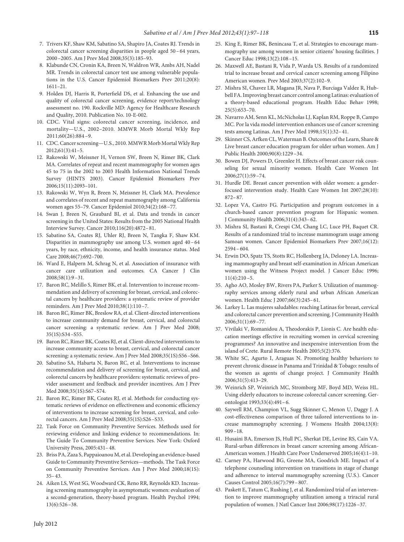- 7. Trivers KF, Shaw KM, Sabatino SA, Shapiro JA, Coates RJ. Trends in colorectal cancer screening disparities in people aged 50 –64 years, 2000 –2005. Am J Prev Med 2008;35(3):185–93.
- <span id="page-18-0"></span>8. Klabunde CN, Cronin KA, Breen N, Waldron WR, Ambs AH, Nadel MR. Trends in colorectal cancer test use among vulnerable populations in the U.S. Cancer Epidemiol Biomarkers Prev 2011;20(8): 1611–21.
- <span id="page-18-25"></span>9. Holden DJ, Harris R, Porterfıeld DS, et al. Enhancing the use and quality of colorectal cancer screening, evidence report/technology assessment no. 190. Rockville MD: Agency for Healthcare Research and Quality, 2010. Publication No. 10-E-002.
- 10. CDC. Vital signs: colorectal cancer screening, incidence, and mortality—U.S., 2002–2010. MMWR Morb Mortal Wkly Rep 2011;60(26):884 –9.
- 11. CDC. Cancer screening-U.S., 2010. MMWR Morb Mortal Wkly Rep  $2012:61(3):41-5$ .
- <span id="page-18-1"></span>12. Rakowski W, Meissner H, Vernon SW, Breen N, Rimer BK, Clark MA. Correlates of repeat and recent mammography for women ages 45 to 75 in the 2002 to 2003 Health Information National Trends Survey (HINTS 2003). Cancer Epidemiol Biomarkers Prev 2006;15(11):2093–101.
- 13. Rakowski W, Wyn R, Breen N, Meissner H, Clark MA. Prevalence and correlates of recent and repeat mammography among California women ages 55–79. Cancer Epidemiol 2010;34(2):168 –77.
- <span id="page-18-2"></span>14. Swan J, Breen N, Graubard BI, et al. Data and trends in cancer screening in the United States: Results from the 2005 National Health Interview Survey. Cancer 2010;116(20):4872–81.
- 15. Sabatino SA, Coates RJ, Uhler RJ, Breen N, Tangka F, Shaw KM. Disparities in mammography use among U.S. women aged 40 –64 years, by race, ethnicity, income, and health insurance status. Med Care 2008;46(7):692–700.
- 16. Ward E, Halpern M, Schrag N, et al. Association of insurance with cancer care utilization and outcomes. CA Cancer J Clin 2008;58(1):9 –31.
- <span id="page-18-3"></span>17. Baron RC, Melillo S, Rimer BK, et al. Intervention to increase recommendation and delivery of screening for breast, cervical, and colorectal cancers by healthcare providers: a systematic review of provider reminders. Am J Prev Med 2010;38(1):110 –7.
- <span id="page-18-5"></span>18. Baron RC, Rimer BK, Breslow RA, et al. Client-directed interventions to increase community demand for breast, cervical, and colorectal cancer screening: a systematic review. Am J Prev Med 2008; 35(1S):S34 –S55.
- <span id="page-18-24"></span>19. Baron RC, Rimer BK, Coates RJ, et al. Client-directed interventions to increase community access to breast, cervical, and colorectal cancer screening: a systematic review. Am J Prev Med 2008;35(1S):S56 –S66.
- <span id="page-18-6"></span>20. Sabatino SA, Habarta N, Baron RC, et al. Interventions to increase recommendation and delivery of screening for breast, cervical, and colorectal cancers by healthcare providers: systematic reviews of provider assessment and feedback and provider incentives. Am J Prev Med 2008;35(1S):S67–S74.
- <span id="page-18-4"></span>21. Baron RC, Rimer BK, Coates RJ, et al. Methods for conducting systematic reviews of evidence on effectiveness and economic effıciency of interventions to increase screening for breast, cervical, and colorectal cancers. Am J Prev Med 2008;35(1S):S26 –S33.
- <span id="page-18-7"></span>22. Task Force on Community Preventive Services. Methods used for reviewing evidence and linking evidence to recommendations. In: The Guide To Community Preventive Services. New York: Oxford University Press, 2005:431–48.
- <span id="page-18-8"></span>23. Briss PA, Zaza S, Pappaioanou M, et al. Developing an evidence-based Guide to Community Preventive Services—methods. The Task Force on Community Preventive Services. Am J Prev Med 2000;18(1S): 35–43.
- <span id="page-18-9"></span>24. Aiken LS, West SG, Woodward CK, Reno RR, Reynolds KD. Increasing screening mammography in asymptomatic women: evaluation of a second-generation, theory-based program. Health Psychol 1994; 13(6):526 –38.
- <span id="page-18-13"></span>25. King E, Rimer BK, Benincasa T, et al. Strategies to encourage mammography use among women in senior citizens' housing facilities. J Cancer Educ 1998;13(2):108 –15.
- <span id="page-18-12"></span>26. Maxwell AE, Bastani R, Vida P, Warda US. Results of a randomized trial to increase breast and cervical cancer screening among Filipino American women. Prev Med 2003;37(2):102–9.
- 27. Mishra SI, Chavez LR, Magana JR, Nava P, Burciaga Valdez R, Hubbell FA. Improving breast cancer control among Latinas: evaluation of a theory-based educational program. Health Educ Behav 1998; 25(5):653–70.
- <span id="page-18-18"></span>28. Navarro AM, Senn KL, McNicholas LJ, Kaplan RM, Roppe B, Campo MC. Por la vida model intervention enhances use of cancer screening tests among Latinas. Am J Prev Med 1998;15(1):32–41.
- 29. Skinner CS, Arfken CL, Waterman B. Outcomes of the Learn, Share & Live breast cancer education program for older urban women. Am J Public Health 2000;90(8):1229 –34.
- <span id="page-18-14"></span>30. Bowen DJ, Powers D, Greenlee H. Effects of breast cancer risk counseling for sexual minority women. Health Care Women Int 2006;27(1):59 –74.
- 31. Hurdle DE. Breast cancer prevention with older women: a genderfocused intervention study. Health Care Women Int 2007;28(10): 872–87.
- <span id="page-18-15"></span>32. Lopez VA, Castro FG. Participation and program outcomes in a church-based cancer prevention program for Hispanic women. J Community Health 2006;31(4):343–62.
- 33. Mishra SI, Bastani R, Crespi CM, Chang LC, Luce PH, Baquet CR. Results of a randomized trial to increase mammogram usage among Samoan women. Cancer Epidemiol Biomarkers Prev 2007;16(12):  $2594 - 604$
- <span id="page-18-10"></span>34. Erwin DO, Spatz TS, Stotts RC, Hollenberg JA, Deloney LA. Increasing mammography and breast self-examination in African American women using the Witness Project model. J Cancer Educ 1996;  $11(4):210-5.$
- <span id="page-18-11"></span>35. Agho AO, Mosley BW, Rivers PA, Parker S. Utilization of mammography services among elderly rural and urban African American women. Health Educ J 2007;66(3):245–61.
- <span id="page-18-17"></span>36. Larkey L. Las mujeres saludables: reaching Latinas for breast, cervical and colorectal cancer prevention and screening. J Community Health 2006;31(1):69 –77.
- <span id="page-18-16"></span>37. Vivilaki V, Romanidou A, Theodorakis P, Lionis C. Are health education meetings effective in recruiting women in cervical screening programmes? An innovative and inexpensive intervention from the island of Crete. Rural Remote Health 2005;5(2):376.
- 38. White SC, Agurto I, Araguas N. Promoting healthy behaviors to prevent chronic disease in Panama and Trinidad & Tobago: results of the women as agents of change project. J Community Health 2006;31(5):413–29.
- <span id="page-18-19"></span>39. Weinrich SP, Weinrich MC, Stromborg MF, Boyd MD, Weiss HL. Using elderly educators to increase colorectal cancer screening. Gerontologist 1993;33(4):491–6.
- <span id="page-18-20"></span>40. Saywell RM, Champion VL, Sugg Skinner C, Menon U, Daggy J. A cost-effectiveness comparison of three tailored interventions to increase mammography screening. J Womens Health 2004;13(8): 909 –18.
- <span id="page-18-22"></span>41. Husaini BA, Emerson JS, Hull PC, Sherkat DE, Levine RS, Cain VA. Rural-urban differences in breast cancer screening among African-American women. J Health Care Poor Underserved 2005;16(4):1–10.
- <span id="page-18-21"></span>42. Carney PA, Harwood BG, Greene MA, Goodrich ME. Impact of a telephone counseling intervention on transitions in stage of change and adherence to interval mammography screening (U.S.). Cancer Causes Control 2005;16(7):799 –807.
- <span id="page-18-23"></span>43. Paskett E, Tatum C, Rushing J, et al. Randomized trial of an intervention to improve mammography utilization among a triracial rural population of women. J Natl Cancer Inst 2006;98(17):1226 –37.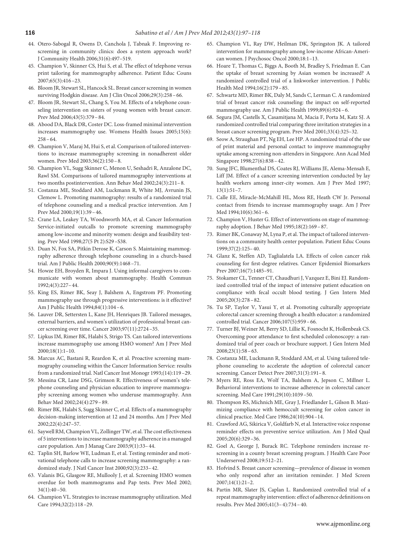- <span id="page-19-0"></span>44. Otero-Sabogal R, Owens D, Canchola J, Tabnak F. Improving rescreening in community clinics: does a system approach work? J Community Health 2006;31(6):497–519.
- 45. Champion V, Skinner CS, Hui S, et al. The effect of telephone versus print tailoring for mammography adherence. Patient Educ Couns 2007;65(3):416 –23.
- <span id="page-19-1"></span>46. Bloom JR, Stewart SL, Hancock SL. Breast cancer screening in women surviving Hodgkin disease. Am J Clin Oncol 2006;29(3):258 –66.
- 47. Bloom JR, Stewart SL, Chang S, You M. Effects of a telephone counseling intervention on sisters of young women with breast cancer. Prev Med 2006;43(5):379 –84.
- <span id="page-19-2"></span>48. Abood DA, Black DR, Coster DC. Loss-framed minimal intervention increases mammography use. Womens Health Issues 2005;15(6):  $258 - 64.$
- <span id="page-19-4"></span>49. Champion V, Maraj M, Hui S, et al. Comparison of tailored interventions to increase mammography screening in nonadherent older women. Prev Med 2003;36(2):150 –8.
- 50. Champion VL, Sugg Skinner C, Menon U, Seshadri R, Anzalone DC, Rawl SM. Comparisons of tailored mammography interventions at two months postintervention. Ann Behav Med 2002;24(3):211–8.
- 51. Costanza ME, Stoddard AM, Luckmann R, White MJ, Avrunin JS, Clemow L. Promoting mammography: results of a randomized trial of telephone counseling and a medical practice intervention. Am J Prev Med 2000;19(1):39 –46.
- 52. Crane LA, Leakey TA, Woodsworth MA, et al. Cancer Information Service-initiated outcalls to promote screening mammography among low-income and minority women: design and feasibility testing. Prev Med 1998;27(5 Pt 2):S29 –S38.
- 53. Duan N, Fox SA, Pitkin Derose K, Carson S. Maintaining mammography adherence through telephone counseling in a church-based trial. Am J Public Health 2000;90(9):1468 –71.
- 54. Howze EH, Broyden R, Impara J. Using informal caregivers to communicate with women about mammography. Health Commun 1992;4(3):227–44.
- 55. King ES, Rimer BK, Seay J, Balshem A, Engstrom PF. Promoting mammography use through progressive interventions: is it effective? Am J Public Health 1994;84(1):104 –6.
- <span id="page-19-3"></span>56. Lauver DR, Settersten L, Kane JH, Henriques JB. Tailored messages, external barriers, and women's utilization of professional breast cancer screening over time. Cancer 2003;97(11):2724 –35.
- 57. Lipkus IM, Rimer BK, Halabi S, Strigo TS. Can tailored interventions increase mammography use among HMO women? Am J Prev Med 2000;18(1):1–10.
- 58. Marcus AC, Bastani R, Reardon K, et al. Proactive screening mammography counseling within the Cancer Information Service: results from a randomized trial. Natl Cancer Inst Monogr 1993;(14):119 –29.
- 59. Messina CR, Lane DSG, Grimson R. Effectiveness of women's telephone counseling and physician education to improve mammography screening among women who underuse mammography. Ann Behav Med 2002;24(4):279 –89.
- 60. Rimer BK, Halabi S, Sugg Skinner C, et al. Effects of a mammography decision-making intervention at 12 and 24 months. Am J Prev Med 2002;22(4):247–57.
- 61. Saywell RM, Champion VL, Zollinger TW, et al. The cost effectiveness of 5 interventions to increase mammography adherence in a managed care population. Am J Manag Care 2003;9(1):33–44.
- 62. Taplin SH, Barlow WE, Ludman E, et al. Testing reminder and motivational telephone calls to increase screening mammography: a randomized study. J Natl Cancer Inst 2000;92(3):233–42.
- 63. Valanis BG, Glasgow RE, Mullooly J, et al. Screening HMO women overdue for both mammograms and Pap tests. Prev Med 2002;  $34(1):40 - 50.$
- 64. Champion VL. Strategies to increase mammography utilization. Med Care 1994;32(2):118 –29.
- 65. Champion VL, Ray DW, Heilman DK, Springston JK. A tailored intervention for mammography among low-income African-American women. J Psychosoc Oncol 2000;18:1–13.
- 66. Hoare T, Thomas C, Biggs A, Booth M, Bradley S, Friedman E. Can the uptake of breast screening by Asian women be increased? A randomized controlled trial of a linkworker intervention. J Public Health Med 1994;16(2):179 –85.
- 67. Schwartz MD, Rimer BK, Daly M, Sands C, Lerman C. A randomized trial of breast cancer risk counseling: the impact on self-reported mammography use. Am J Public Health 1999;89(6):924 –6.
- 68. Segura JM, Castells X, Casamitjana M, Macia F, Porta M, Katz SJ. A randomized controlled trial comparing three invitation strategies in a breast cancer screening program. Prev Med 2001;33(4):325–32.
- 69. Seow A, Straughan PT, Ng EH, Lee HP. A randomized trial of the use of print material and personal contact to improve mammography uptake among screening non-attenders in Singapore. Ann Acad Med Singapore 1998;27(6):838 –42.
- 70. Sung JFC, Blumenthal DS, Coates RJ, Williams JE, Alema-Mensah E, Liff JM. Effect of a cancer screening intervention conducted by lay health workers among inner-city women. Am J Prev Med 1997; 13(1):51–7.
- 71. Calle EE, Miracle-McMahill HL, Moss RE, Heath CW Jr. Personal contact from friends to increase mammography usage. Am J Prev Med 1994;10(6):361–6.
- <span id="page-19-5"></span>72. Champion V, Huster G. Effect of interventions on stage of mammography adoption. J Behav Med 1995;18(2):169 –87.
- 73. Rimer BK, Conaway M, Lyna P, et al. The impact of tailored interventions on a community health center population. Patient Educ Couns 1999;37(2):125–40.
- <span id="page-19-6"></span>74. Glanz K, Steffen AD, Taglialatela LA. Effects of colon cancer risk counseling for fırst-degree relatives. Cancer Epidemiol Biomarkers Prev 2007;16(7):1485–91.
- <span id="page-19-8"></span>75. Stokamer CL, Tenner CT, Chaudhuri J, Vazquez E, Bini EJ. Randomized controlled trial of the impact of intensive patient education on compliance with fecal occult blood testing. J Gen Intern Med 2005;20(3):278 –82.
- <span id="page-19-11"></span>76. Tu SP, Taylor V, Yasui Y, et al. Promoting culturally appropriate colorectal cancer screening through a health educator: a randomized controlled trial. Cancer 2006;107(5):959 –66.
- <span id="page-19-9"></span>77. Turner BJ, Weiner M, Berry SD, Lillie K, Fosnocht K, Hollenbeak CS. Overcoming poor attendance to fırst scheduled colonoscopy: a randomized trial of peer coach or brochure support. J Gen Intern Med  $2008;23(1):58-63.$
- <span id="page-19-7"></span>78. Costanza ME, Luckmann R, Stoddard AM, et al. Using tailored telephone counseling to accelerate the adoption of colorectal cancer screening. Cancer Detect Prev 2007;31(3):191–8.
- <span id="page-19-10"></span>79. Myers RE, Ross EA, Wolf TA, Balshem A, Jepson C, Millner L. Behavioral interventions to increase adherence in colorectal cancer screening. Med Care 1991;29(10):1039 –50.
- <span id="page-19-12"></span>80. Thompson RS, Michnich ME, Gray J, Friedlander L, Gilson B. Maximizing compliance with hemoccult screening for colon cancer in clinical practice. Med Care 1986;24(10):904 –14.
- <span id="page-19-13"></span>81. Crawford AG, Sikirica V, Goldfarb N, et al. Interactive voice response reminder effects on preventive service utilization. Am J Med Qual 2005;20(6):329 –36.
- <span id="page-19-15"></span>82. Goel A, George J, Burack RC. Telephone reminders increase rescreening in a county breast screening program. J Health Care Poor Underserved 2008;19:512–21.
- <span id="page-19-14"></span>83. Hofvind S. Breast cancer screening—prevalence of disease in women who only respond after an invitation reminder. J Med Screen 2007;14(1):21–2.
- <span id="page-19-16"></span>84. Partin MR, Slater JS, Caplan L. Randomized controlled trial of a repeat mammography intervention: effect of adherence defınitions on results. Prev Med 2005;41(3–4):734 –40.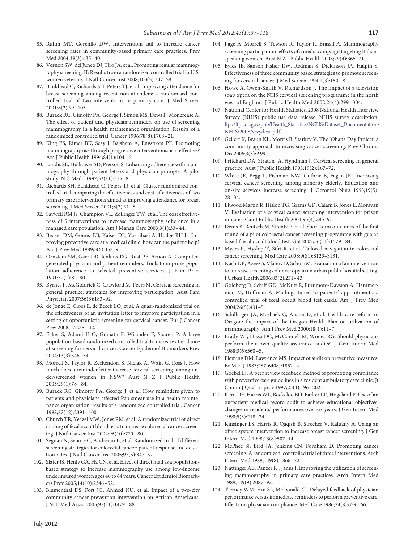- <span id="page-20-1"></span>85. Ruffın MT, Gorenflo DW. Interventions fail to increase cancer screening rates in community-based primary care practices. Prev Med 2004;39(3):435–40.
- <span id="page-20-0"></span>86. Vernon SW, del Junco DJ, Tiro JA, et al. Promoting regular mammography screening, II: Results from a randomized controlled trial in U.S. women veterans. J Natl Cancer Inst 2008;100(5):347–58.
- <span id="page-20-2"></span>87. Bankhead C, Richards SH, Peters TJ, et al. Improving attendance for breast screening among recent non-attenders: a randomised controlled trial of two interventions in primary care. J Med Screen 2001;8(2):99 –105.
- 88. Burack RC, Gimotty PA, George J, Simon MS, Dews P, Moncrease A. The effect of patient and physician reminders on use of screening mammography in a health maintenance organization. Results of a randomized controlled trial. Cancer 1996;78(8):1708 –21.
- 89. King ES, Rimer BK, Seay J, Balshem A, Engstrom PF. Promoting mammography use through progressive interventions: is it effective? Am J Public Health 1994;84(1):104 –6.
- 90. Landis SE, Hulkower SD, Pierson S. Enhancing adherence with mammography through patient letters and physician prompts. A pilot study. N C Med J 1992;53(11):575–8.
- 91. Richards SH, Bankhead C, Peters TJ, et al. Cluster randomised controlled trial comparing the effectiveness and cost-effectiveness of two primary care interventions aimed at improving attendance for breast screening. J Med Screen 2001;8(2):91–8.
- 92. Saywell RM Jr, Champion VL, Zollinger TW, et al. The cost effectiveness of 5 interventions to increase mammography adherence in a managed care population. Am J Manag Care 2003;9(1):33–44.
- <span id="page-20-3"></span>93. Becker DM, Gomez EB, Kaiser DL, Yoshihasi A, Hodge RH Jr. Improving preventive care at a medical clinic: how can the patient help? Am J Prev Med 1989;5(6):353–9.
- 94. Ornstein SM, Garr DR, Jenkins RG, Rust PF, Arnon A. Computergenerated physician and patient reminders. Tools to improve population adherence to selected preventive services. J Fam Pract 1991;32(1):82–90.
- <span id="page-20-4"></span>95. Byrnes P, McGoldrick C, Crawford M, Peers M. Cervical screening in general practice: strategies for improving participation. Aust Fam Physician 2007;36(3):183–92.
- <span id="page-20-5"></span>96. de Jonge E, Cloes E, de Beeck LO, et al. A quasi-randomized trial on the effectiveness of an invitation letter to improve participation in a setting of opportunistic screening for cervical cancer. Eur J Cancer Prev 2008;17:238 –42.
- <span id="page-20-6"></span>97. Eaker S, Adami H-O, Granath F, Wilander E, Sparen P. A large population-based randomized controlled trial to increase attendance at screening for cervical cancer. Cancer Epidemiol Biomarkers Prev 2004;13(3):346 –54.
- 98. Morrell S, Taylor R, Zeckendorf S, Niciak A, Wain G, Ross J. How much does a reminder letter increase cervical screening among under-screened women in NSW? Aust N Z J Public Health 2005;29(1):78 –84.
- <span id="page-20-7"></span>99. Burack RC, Gimotty PA, George J, et al. How reminders given to patients and physicians affected Pap smear use in a health maintenance organization: results of a randomized controlled trial. Cancer 1998;82(12):2391–400.
- <span id="page-20-9"></span>100. Church TR, Yeazel MW, Jones RM, et al. A randomized trial of direct mailing of fecal occult blood tests to increase colorectal cancer screening. J Natl Cancer Inst 2004;96(10):770 –80.
- <span id="page-20-10"></span><span id="page-20-8"></span>101. Segnan N, Senore C, Andreoni B, et al. Randomized trial of different screening strategies for colorectal cancer: patient response and detection rates. J Natl Cancer Inst 2005;97(5):347–57.
- 102. Slater JS, Henly GA, Ha CN, et al. Effect of direct mail as a populationbased strategy to increase mammography use among low-income underinsured women ages 40 to 64 years. Cancer Epidemiol Biomarkers Prev 2005;14(10):2346 –52.
- <span id="page-20-11"></span>103. Blumenthal DS, Fort JG, Ahmed NU, et al. Impact of a two-city community cancer prevention intervention on African Americans. J Natl Med Assoc 2005;97(11):1479 –88.
- <span id="page-20-12"></span>104. Page A, Morrell S, Tewson R, Taylor R, Brassil A. Mammography screening participation: effects of a media campaign targeting Italianspeaking women. Aust N Z J Public Health 2005;29(4):365-71.
- 105. Byles JE, Sanson-Fisher RW, Redman S, Dickinson JA, Halpin S. Effectiveness of three community based strategies to promote screening for cervical cancer. J Med Screen 1994;1(3):150 –8.
- <span id="page-20-13"></span>106. Howe A, Owen-Smith V, Richardson J. The impact of a television soap opera on the NHS cervical screening programme in the north west of England. J Public Health Med 2002;24(4):299 –304.
- <span id="page-20-14"></span>107. National Center for Health Statistics. 2008 National Health Interview Survey (NHIS) public use data release. NHIS survey description. [ftp://ftp.cdc.gov/pub/Health\\_Statistics/NCHS/Dataset\\_Documentation/](ftp://ftp.cdc.gov/pub/Health_Statistics/NCHS/Dataset_Documentation/NHIS/2008/srvydesc.pdf) [NHIS/2008/srvydesc.pdf.](ftp://ftp.cdc.gov/pub/Health_Statistics/NCHS/Dataset_Documentation/NHIS/2008/srvydesc.pdf)
- <span id="page-20-15"></span>108. Gellert K, Braun KL, Morris R, Starkey V. The 'Ohana Day Project: a community approach to increasing cancer screening. Prev Chronic Dis 2006;3(3):A99.
- <span id="page-20-16"></span>109. Pritchard DA, Straton JA, Hyndman J. Cervical screening in general practice. Aust J Public Health 1995;19(2):167–72.
- <span id="page-20-18"></span>110. White JE, Begg L, Fishman NW, Guthrie B, Fagan JK. Increasing cervical cancer screening among minority elderly. Education and on-site services increase screening. J Gerontol Nurs 1993;19(5): 28 –34.
- <span id="page-20-17"></span>111. Elwood Martin R, Hislop TG, Grams GD, Calam B, Jones E, Moravan V. Evaluation of a cervical cancer screening intervention for prison inmates. Can J Public Health 2004;95(4):285–9.
- <span id="page-20-20"></span>112. Denis B, Reutsch M, Strentz P, et al. Short term outcomes of the fırst round of a pilot colorectal cancer screening programme with guaiac based faecal occult blood test. Gut 2007;56(11):1579 –84.
- <span id="page-20-22"></span><span id="page-20-21"></span>113. Myers R, Hyslop T, Sifri R, et al. Tailored navigation in colorectal cancer screening. Med Care 2008;9(S1):S123–S131.
- 114. Nash DB, Azeez S, Vlahov D, Schori M. Evaluation of an intervention to increase screening colonoscopy in an urban public hospital setting. J Urban Health 2006;83(2):231–43.
- <span id="page-20-19"></span>115. Goldberg D, Schiff GD, McNutt R, Furumoto-Dawson A, Hammerman M, Hoffman A. Mailings timed to patients' appointments: a controlled trial of fecal occult blood test cards. Am J Prev Med 2004;26(5):431–5.
- <span id="page-20-23"></span>116. Schillinger JA, Mosbaek C, Austin D, et al. Health care reform in Oregon: the impact of the Oregon Health Plan on utilization of mammography. Am J Prev Med 2000;18(1):11–7.
- <span id="page-20-24"></span>117. Brady WJ, Hissa DC, McConnell M, Wones RG. Should physicians perform their own quality assurance audits? J Gen Intern Med 1988;3(6):560 –5.
- <span id="page-20-26"></span><span id="page-20-25"></span>118. Fleming DM, Lawrence MS. Impact of audit on preventive measures. Br Med J 1983;287(6408):1852–4.
- 119. Goebel LJ. A peer review feedback method of promoting compliance with preventive care guidelines in a resident ambulatory care clinic. Jt Comm J Qual Improv 1997;23(4):196 –202.
- <span id="page-20-28"></span>120. Kern DE, Harris WL, Boekeloo BO, Barker LR, Hogeland P. Use of an outpatient medical record audit to achieve educational objectives: changes in residents' performances over six years. J Gen Intern Med 1990;5(3):218 –24.
- <span id="page-20-27"></span>121. Kinsinger LS, Harris R, Qaqish B, Strecher V, Kaluzny A. Using an offıce system intervention to increase breast cancer screening. J Gen Intern Med 1998;13(8):507–14.
- <span id="page-20-30"></span>122. McPhee SJ, Bird JA, Jenkins CN, Fordham D. Promoting cancer screening. A randomized, controlled trial of three interventions. Arch Intern Med 1989;149(8):1866 –72.
- <span id="page-20-29"></span>123. Nattinger AB, Panzer RJ, Janus J. Improving the utilization of screening mammography in primary care practices. Arch Intern Med 1989;149(9):2087–92.
- 124. Tierney WM, Hui SL, McDonald CJ. Delayed feedback of physician performance versus immediate reminders to perform preventive care. Effects on physician compliance. Med Care 1986;24(8):659 –66.